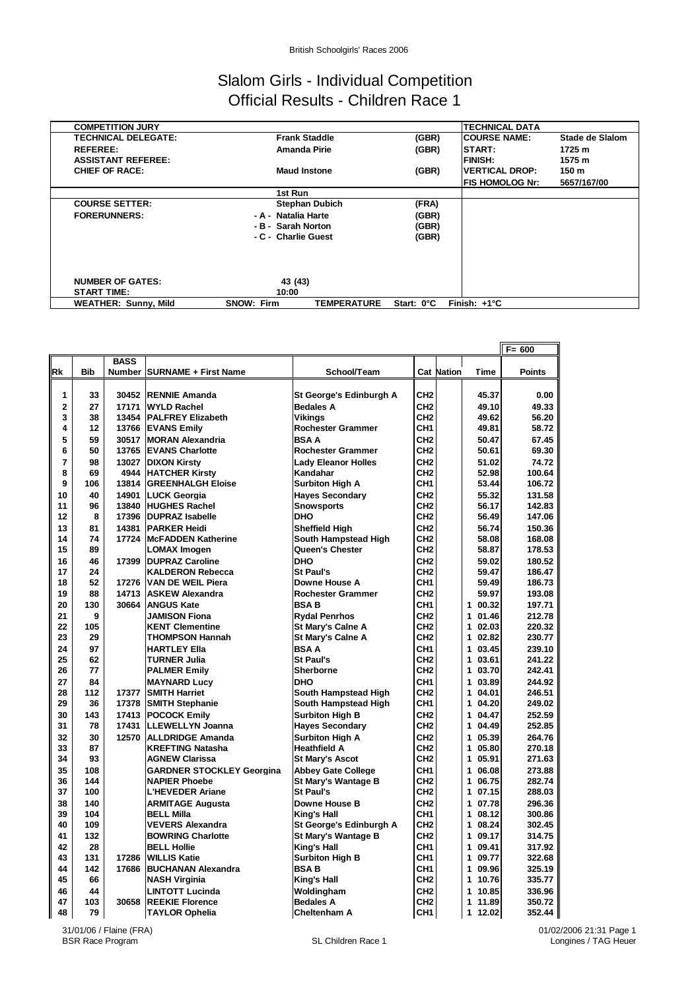### Slalom Girls - Individual Competition Official Results - Children Race 1

| <b>COMPETITION JURY</b>     |                   |                       |            | <b>TECHNICAL DATA</b>   |                 |
|-----------------------------|-------------------|-----------------------|------------|-------------------------|-----------------|
| <b>TECHNICAL DELEGATE:</b>  |                   | <b>Frank Staddle</b>  | (GBR)      | <b>COURSE NAME:</b>     | Stade de Slalom |
| <b>REFEREE:</b>             |                   | <b>Amanda Pirie</b>   | (GBR)      | <b>START:</b>           | 1725 m          |
| <b>ASSISTANT REFEREE:</b>   |                   |                       |            | <b>FINISH:</b>          | 1575 m          |
| <b>CHIEF OF RACE:</b>       |                   | <b>Maud Instone</b>   | (GBR)      | <b>IVERTICAL DROP:</b>  | 150 m           |
|                             |                   |                       |            | <b>IFIS HOMOLOG Nr:</b> | 5657/167/00     |
|                             |                   | 1st Run               |            |                         |                 |
| <b>COURSE SETTER:</b>       |                   | <b>Stephan Dubich</b> | (FRA)      |                         |                 |
| <b>FORERUNNERS:</b>         |                   | - A - Natalia Harte   | (GBR)      |                         |                 |
|                             |                   | - B - Sarah Norton    | (GBR)      |                         |                 |
|                             |                   | - C - Charlie Guest   | (GBR)      |                         |                 |
|                             |                   |                       |            |                         |                 |
|                             |                   |                       |            |                         |                 |
|                             |                   |                       |            |                         |                 |
| <b>NUMBER OF GATES:</b>     |                   | 43 (43)               |            |                         |                 |
| <b>START TIME:</b>          |                   | 10:00                 |            |                         |                 |
| <b>WEATHER: Sunny, Mild</b> | <b>SNOW: Firm</b> | <b>TEMPERATURE</b>    | Start: 0°C | Finish: $+1^{\circ}C$   |                 |

|           |            |             |                                                  |                                               |                                    |                   |                          | $F = 600$        |
|-----------|------------|-------------|--------------------------------------------------|-----------------------------------------------|------------------------------------|-------------------|--------------------------|------------------|
|           |            | <b>BASS</b> |                                                  |                                               |                                    |                   |                          |                  |
| <b>Rk</b> | <b>Bib</b> |             | Number   SURNAME + First Name                    | School/Team                                   |                                    | <b>Cat Nation</b> | <b>Time</b>              | <b>Points</b>    |
| 1         | 33         |             | 30452 RENNIE Amanda                              | St George's Edinburgh A                       | CH <sub>2</sub>                    |                   | 45.37                    | 0.00             |
| 2         | 27         | 17171       | <b>WYLD Rachel</b>                               | <b>Bedales A</b>                              | CH <sub>2</sub>                    |                   | 49.10                    | 49.33            |
| 3         | 38         | 13454       | <b>PALFREY Elizabeth</b>                         | <b>Vikings</b>                                | CH <sub>2</sub>                    |                   | 49.62                    | 56.20            |
| 4         | 12         | 13766       | <b>EVANS Emily</b>                               | <b>Rochester Grammer</b>                      | CH <sub>1</sub>                    |                   | 49.81                    | 58.72            |
| 5         | 59         | 30517       | <b>MORAN Alexandria</b>                          | <b>BSAA</b>                                   | CH <sub>2</sub>                    |                   | 50.47                    | 67.45            |
| 6         | 50         | 13765       | <b>EVANS Charlotte</b>                           | <b>Rochester Grammer</b>                      | CH <sub>2</sub>                    |                   | 50.61                    | 69.30            |
| 7         | 98         |             | 13027 DIXON Kirsty                               | <b>Lady Eleanor Holles</b>                    | CH <sub>2</sub>                    |                   | 51.02                    | 74.72            |
| 8         | 69         | 4944        | <b>HATCHER Kirsty</b>                            | Kandahar                                      | CH <sub>2</sub>                    |                   | 52.98                    | 100.64           |
| 9         | 106        | 13814       | <b>GREENHALGH Eloise</b>                         | <b>Surbiton High A</b>                        | CH <sub>1</sub>                    |                   | 53.44                    | 106.72           |
| 10        | 40         | 14901       | <b>LUCK Georgia</b>                              | <b>Hayes Secondary</b>                        | CH <sub>2</sub>                    |                   | 55.32                    | 131.58           |
| 11        | 96         | 13840       | <b>HUGHES Rachel</b>                             | <b>Snowsports</b>                             | CH <sub>2</sub>                    |                   | 56.17                    | 142.83           |
| 12        | 8          | 17396       | <b>DUPRAZ Isabelle</b>                           | <b>DHO</b>                                    | CH <sub>2</sub>                    |                   | 56.49                    | 147.06           |
| 13        | 81         | 14381       | <b>PARKER Heidi</b>                              | <b>Sheffield High</b>                         | CH <sub>2</sub>                    |                   | 56.74                    | 150.36           |
| 14        | 74         | 17724       | <b>McFADDEN Katherine</b>                        | South Hampstead High                          | CH <sub>2</sub>                    |                   | 58.08                    | 168.08           |
| 15        | 89         |             | <b>LOMAX Imogen</b>                              | Queen's Chester                               | CH <sub>2</sub>                    |                   | 58.87                    | 178.53           |
| 16        | 46         | 17399       | <b>DUPRAZ Caroline</b>                           | <b>DHO</b>                                    | CH <sub>2</sub>                    |                   | 59.02                    | 180.52           |
| 17        | 24         |             | <b>KALDERON Rebecca</b>                          | <b>St Paul's</b>                              | CH <sub>2</sub>                    |                   | 59.47                    | 186.47           |
| 18        | 52         | 17276       | <b>VAN DE WEIL Piera</b>                         | Downe House A                                 | CH <sub>1</sub>                    |                   | 59.49                    | 186.73           |
| 19        | 88         | 14713       | <b>ASKEW Alexandra</b>                           | <b>Rochester Grammer</b>                      | CH <sub>2</sub>                    |                   | 59.97                    | 193.08           |
| 20        | 130        | 30664       | <b>ANGUS Kate</b>                                | <b>BSAB</b>                                   | CH <sub>1</sub>                    |                   | 1 00.32                  | 197.71           |
| 21        | 9          |             | <b>JAMISON Fiona</b>                             | <b>Rydal Penrhos</b>                          | CH <sub>2</sub>                    |                   | 1 01.46                  | 212.78           |
| 22        | 105        |             | <b>KENT Clementine</b>                           | <b>St Mary's Calne A</b>                      | CH <sub>2</sub>                    |                   | 02.03<br>1.              | 220.32           |
| 23        | 29         |             | THOMPSON Hannah                                  | <b>St Mary's Calne A</b>                      | CH <sub>2</sub>                    |                   | 1 02.82                  | 230.77           |
| 24        | 97         |             | <b>HARTLEY Ella</b>                              | <b>BSAA</b>                                   | CH <sub>1</sub>                    |                   | 03.45<br>1               | 239.10           |
| 25        | 62         |             | TURNER Julia                                     | <b>St Paul's</b>                              | CH <sub>2</sub>                    |                   | 03.61<br>1               | 241.22           |
| 26        | 77         |             | <b>PALMER Emily</b>                              | <b>Sherborne</b>                              | CH <sub>2</sub>                    |                   | 1 03.70                  | 242.41           |
| 27        | 84         |             | <b>MAYNARD Lucy</b>                              | <b>DHO</b>                                    | CH <sub>1</sub>                    |                   | 03.89<br>1               | 244.92           |
| 28        | 112        | 17377       | <b>SMITH Harriet</b>                             | South Hampstead High                          | CH <sub>2</sub>                    |                   | 04.01<br>1               | 246.51           |
| 29        | 36         | 17378       | <b>SMITH Stephanie</b>                           | South Hampstead High                          | CH1                                |                   | 04.20<br>1               | 249.02           |
| 30        | 143        | 17413       | <b>POCOCK Emily</b>                              | <b>Surbiton High B</b>                        | CH <sub>2</sub>                    |                   | 1 04.47                  | 252.59           |
| 31        | 78         | 17431       | <b>LLEWELLYN Joanna</b>                          | <b>Hayes Secondary</b>                        | CH <sub>2</sub>                    |                   | 04.49<br>1               | 252.85           |
| 32<br>33  | 30<br>87   | 12570       | <b>ALLDRIDGE Amanda</b>                          | <b>Surbiton High A</b><br><b>Heathfield A</b> | CH <sub>2</sub><br>CH <sub>2</sub> |                   | 1<br>05.39<br>05.80<br>1 | 264.76           |
| 34        | 93         |             | <b>KREFTING Natasha</b><br><b>AGNEW Clarissa</b> | <b>St Mary's Ascot</b>                        | CH <sub>2</sub>                    |                   | 05.91<br>1               | 270.18<br>271.63 |
| 35        | 108        |             | <b>GARDNER STOCKLEY Georgina</b>                 | <b>Abbey Gate College</b>                     | CH <sub>1</sub>                    |                   | 1 06.08                  | 273.88           |
| 36        | 144        |             | <b>NAPIER Phoebe</b>                             | St Mary's Wantage B                           | CH <sub>2</sub>                    |                   | 06.75<br>1               | 282.74           |
| 37        | 100        |             | L'HEVEDER Ariane                                 | <b>St Paul's</b>                              | CH <sub>2</sub>                    |                   | 1 07.15                  | 288.03           |
| 38        | 140        |             | <b>ARMITAGE Augusta</b>                          | Downe House B                                 | CH <sub>2</sub>                    |                   | 1<br>07.78               | 296.36           |
| 39        | 104        |             | <b>BELL Milla</b>                                | King's Hall                                   | CH1                                |                   | 1<br>08.12               | 300.86           |
| 40        | 109        |             | <b>VEVERS Alexandra</b>                          | St George's Edinburgh A                       | CH <sub>2</sub>                    |                   | 1 08.24                  | 302.45           |
| 41        | 132        |             | <b>BOWRING Charlotte</b>                         | St Mary's Wantage B                           | CH <sub>2</sub>                    |                   | 1<br>09.17               | 314.75           |
| 42        | 28         |             | <b>BELL Hollie</b>                               | King's Hall                                   | CH <sub>1</sub>                    |                   | 1 09.41                  | 317.92           |
| 43        | 131        | 17286       | <b>WILLIS Katie</b>                              | <b>Surbiton High B</b>                        | CH <sub>1</sub>                    |                   | 1 09.77                  | 322.68           |
| 44        | 142        | 17686       | <b>BUCHANAN Alexandra</b>                        | <b>BSAB</b>                                   | CH1                                |                   | 09.96<br>1               | 325.19           |
| 45        | 66         |             | NASH Virginia                                    | King's Hall                                   | CH <sub>2</sub>                    |                   | 1 10.76                  | 335.77           |
| 46        | 44         |             | <b>LINTOTT Lucinda</b>                           | Woldingham                                    | CH <sub>2</sub>                    |                   | 1<br>10.85               | 336.96           |
| 47        | 103        | 30658       | <b>REEKIE Florence</b>                           | <b>Bedales A</b>                              | CH <sub>2</sub>                    |                   | 1 11.89                  | 350.72           |
| 48<br>II  | 79         |             | <b>TAYLOR Ophelia</b>                            | Cheltenham A                                  | CH <sub>1</sub>                    |                   | 1 12.02                  | 352.44 II        |

31/01/06 / Flaine (FRA)<br>BSR Race Program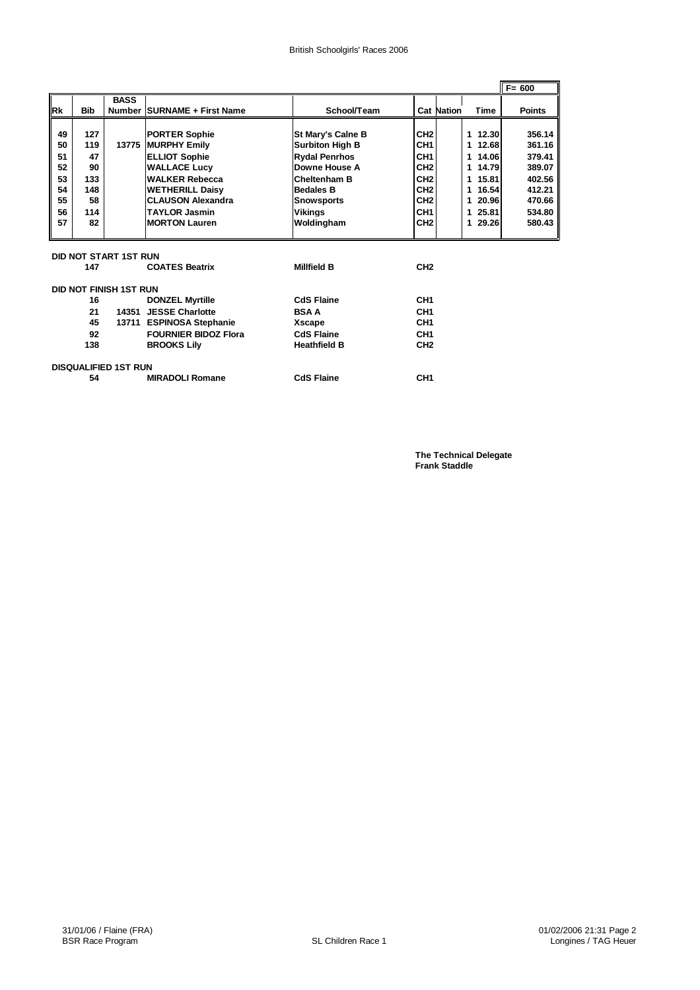|           |            |                               |                             |                          |                 |                   |                      | $F = 600$     |
|-----------|------------|-------------------------------|-----------------------------|--------------------------|-----------------|-------------------|----------------------|---------------|
|           |            | <b>BASS</b>                   |                             |                          |                 |                   |                      |               |
| <b>Rk</b> | <b>Bib</b> |                               | Number SURNAME + First Name | School/Team              |                 | <b>Cat Nation</b> | Time                 | <b>Points</b> |
|           |            |                               |                             |                          |                 |                   |                      |               |
| 49        | 127        |                               | <b>PORTER Sophie</b>        | <b>St Mary's Calne B</b> | CH <sub>2</sub> |                   | 1 12.30              | 356.14        |
| 50        | 119        |                               | 13775 MURPHY Emily          | <b>Surbiton High B</b>   | CH <sub>1</sub> |                   | 12.68<br>$\mathbf 1$ | 361.16        |
| 51        | 47         |                               | <b>ELLIOT Sophie</b>        | <b>Rydal Penrhos</b>     | CH <sub>1</sub> |                   | 14.06<br>$\mathbf 1$ | 379.41        |
| 52        | 90         |                               | <b>WALLACE Lucy</b>         | Downe House A            | CH <sub>2</sub> |                   | 1 14.79              | 389.07        |
| 53        | 133        |                               | <b>WALKER Rebecca</b>       | <b>Cheltenham B</b>      | CH <sub>2</sub> |                   | 15.81<br>1           | 402.56        |
| 54        | 148        |                               | <b>WETHERILL Daisy</b>      | <b>Bedales B</b>         | CH <sub>2</sub> |                   | 16.54<br>1           | 412.21        |
| 55        | 58         |                               | <b>CLAUSON Alexandra</b>    | <b>Snowsports</b>        | CH <sub>2</sub> |                   | 1 20.96              | 470.66        |
| 56        | 114        |                               | <b>TAYLOR Jasmin</b>        | Vikinas                  | CH <sub>1</sub> |                   | 25.81<br>1           | 534.80        |
| 57        | 82         |                               | <b>MORTON Lauren</b>        | Woldingham               | CH <sub>2</sub> |                   | 1 29.26              | 580.43        |
|           |            |                               |                             |                          |                 |                   |                      |               |
|           |            |                               |                             |                          |                 |                   |                      |               |
|           |            | DID NOT START 1ST RUN         |                             |                          |                 |                   |                      |               |
|           | 147        |                               | <b>COATES Beatrix</b>       | <b>Millfield B</b>       | CH <sub>2</sub> |                   |                      |               |
|           |            |                               |                             |                          |                 |                   |                      |               |
|           |            | <b>DID NOT FINISH 1ST RUN</b> |                             |                          |                 |                   |                      |               |
|           | 16         |                               | <b>DONZEL Myrtille</b>      | <b>CdS Flaine</b>        | CH <sub>1</sub> |                   |                      |               |
|           | 21         |                               | 14351 JESSE Charlotte       | <b>BSAA</b>              | CH <sub>1</sub> |                   |                      |               |
|           | 45         |                               | 13711 ESPINOSA Stephanie    | Xscape                   | CH <sub>1</sub> |                   |                      |               |
|           | 92         |                               | <b>FOURNIER BIDOZ Flora</b> | <b>CdS Flaine</b>        | CH <sub>1</sub> |                   |                      |               |
|           | 138        |                               | <b>BROOKS Lilv</b>          | <b>Heathfield B</b>      | CH <sub>2</sub> |                   |                      |               |
|           |            |                               |                             |                          |                 |                   |                      |               |
|           |            | <b>DISQUALIFIED 1ST RUN</b>   |                             |                          |                 |                   |                      |               |
|           | 54         |                               | <b>MIRADOLI Romane</b>      | <b>CdS Flaine</b>        | CH <sub>1</sub> |                   |                      |               |
|           |            |                               |                             |                          |                 |                   |                      |               |

**The Technical Delegate Frank Staddle**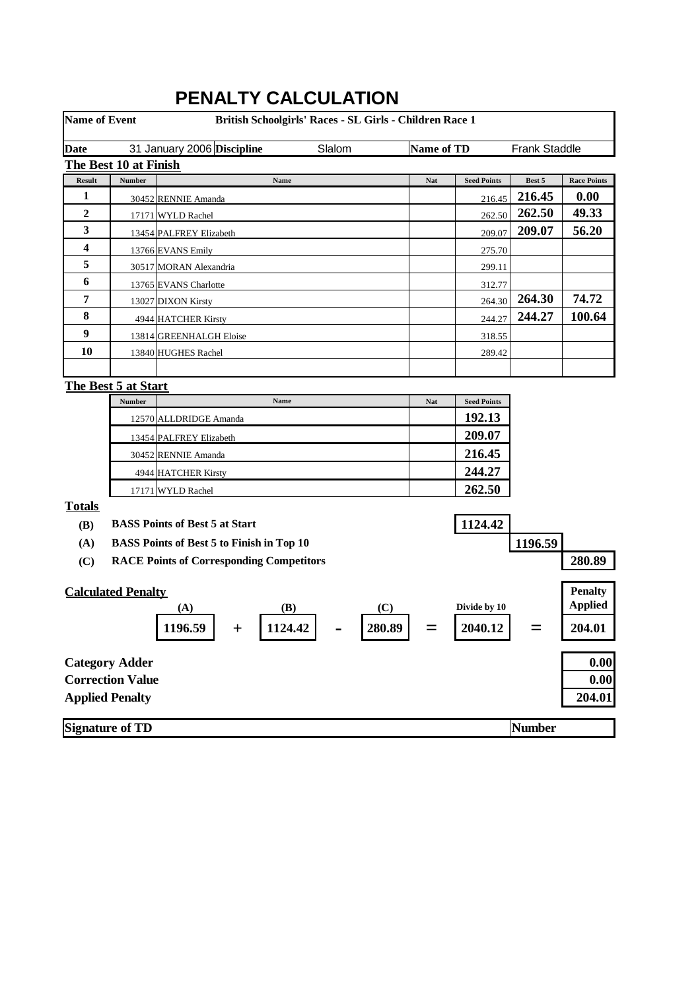| <b>Name of Event</b> |                           | British Schoolgirls' Races - SL Girls - Children Race 1 |            |                    |                      |                    |
|----------------------|---------------------------|---------------------------------------------------------|------------|--------------------|----------------------|--------------------|
| <b>Date</b>          |                           | 31 January 2006 Discipline<br>Slalom                    | Name of TD |                    | <b>Frank Staddle</b> |                    |
|                      | The Best 10 at Finish     |                                                         |            |                    |                      |                    |
| <b>Result</b>        | Number                    | Name                                                    | Nat        | <b>Seed Points</b> | Best 5               | <b>Race Points</b> |
| 1                    |                           | 30452 RENNIE Amanda                                     |            | 216.45             | 216.45               | 0.00               |
| 2                    |                           | 17171 WYLD Rachel                                       |            | 262.50             | 262.50               | 49.33              |
| 3                    |                           | 13454 PALFREY Elizabeth                                 |            | 209.07             | 209.07               | 56.20              |
| 4                    |                           | 13766 EVANS Emily                                       |            | 275.70             |                      |                    |
| 5                    |                           | 30517 MORAN Alexandria                                  |            | 299.11             |                      |                    |
| 6                    |                           | 13765 EVANS Charlotte                                   |            | 312.77             |                      |                    |
| 7                    |                           | 13027 DIXON Kirsty                                      |            | 264.30             | 264.30               | 74.72              |
| 8                    |                           | 4944 HATCHER Kirsty                                     |            | 244.27             | 244.27               | 100.64             |
| $\boldsymbol{9}$     |                           | 13814 GREENHALGH Eloise                                 |            | 318.55             |                      |                    |
| 10                   |                           | 13840 HUGHES Rachel                                     |            | 289.42             |                      |                    |
|                      |                           |                                                         |            |                    |                      |                    |
|                      | The Best 5 at Start       |                                                         |            |                    |                      |                    |
|                      | Number                    | Name                                                    | Nat        | <b>Seed Points</b> |                      |                    |
|                      |                           | 12570 ALLDRIDGE Amanda                                  |            | 192.13             |                      |                    |
|                      |                           | 13454 PALFREY Elizabeth                                 |            | 209.07             |                      |                    |
|                      |                           | 30452 RENNIE Amanda                                     |            | 216.45             |                      |                    |
|                      |                           | 4944 HATCHER Kirsty                                     |            | 244.27             |                      |                    |
|                      |                           | 17171 WYLD Rachel                                       |            | 262.50             |                      |                    |
| <b>Totals</b>        |                           |                                                         |            |                    |                      |                    |
| <b>(B)</b>           |                           | <b>BASS Points of Best 5 at Start</b>                   |            | 1124.42            |                      |                    |
| (A)                  |                           | <b>BASS Points of Best 5 to Finish in Top 10</b>        |            |                    | 1196.59              |                    |
| (C)                  |                           | <b>RACE Points of Corresponding Competitors</b>         |            |                    |                      | 280.89             |
|                      |                           |                                                         |            |                    |                      |                    |
|                      | <b>Calculated Penalty</b> |                                                         |            |                    |                      | <b>Penalty</b>     |
|                      |                           | (B)<br>(C)<br>(A)                                       |            | Divide by 10       |                      | <b>Applied</b>     |
|                      |                           | 280.89<br>1196.59<br>1124.42<br>┿                       |            | 2040.12            |                      | 204.01             |
|                      | <b>Category Adder</b>     |                                                         |            |                    |                      | 0.00               |
|                      | <b>Correction Value</b>   |                                                         |            |                    |                      | 0.00               |
|                      | <b>Applied Penalty</b>    |                                                         |            |                    |                      | 204.01             |
|                      | <b>Signature of TD</b>    |                                                         |            |                    | <b>Number</b>        |                    |

# **PENALTY CALCULATION**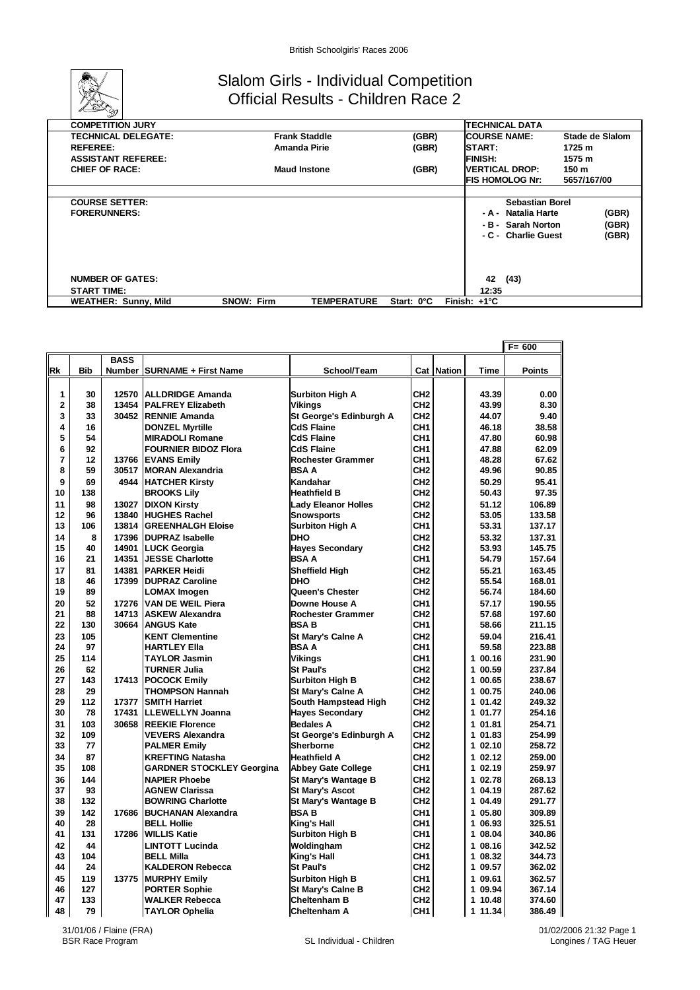

#### Slalom Girls - Individual Competition Official Results - Children Race 2

| <b>COMPETITION JURY</b>     |                     |                      |            |                       |                      | <b>TECHNICAL DATA</b>   |                 |
|-----------------------------|---------------------|----------------------|------------|-----------------------|----------------------|-------------------------|-----------------|
| <b>TECHNICAL DELEGATE:</b>  |                     | <b>Frank Staddle</b> | (GBR)      |                       | <b>ICOURSE NAME:</b> |                         | Stade de Slalom |
| <b>REFEREE:</b>             | Amanda Pirie        |                      | (GBR)      |                       | <b>START:</b>        |                         | 1725 m          |
| <b>ASSISTANT REFEREE:</b>   |                     |                      |            |                       | <b>FINISH:</b>       |                         | 1575 m          |
| <b>CHIEF OF RACE:</b>       | <b>Maud Instone</b> |                      | (GBR)      |                       |                      | <b>IVERTICAL DROP:</b>  | 150 m           |
|                             |                     |                      |            |                       |                      | <b>IFIS HOMOLOG Nr:</b> | 5657/167/00     |
|                             |                     |                      |            |                       |                      |                         |                 |
| <b>COURSE SETTER:</b>       |                     |                      |            |                       |                      | Sebastian Borel         |                 |
| <b>FORERUNNERS:</b>         |                     |                      |            |                       |                      | - A - Natalia Harte     | (GBR)           |
|                             |                     |                      |            |                       |                      | - B - Sarah Norton      | (GBR)           |
|                             |                     |                      |            |                       |                      | - C - Charlie Guest     | (GBR)           |
|                             |                     |                      |            |                       |                      |                         |                 |
|                             |                     |                      |            |                       |                      |                         |                 |
|                             |                     |                      |            |                       |                      |                         |                 |
| <b>NUMBER OF GATES:</b>     |                     |                      |            |                       | 42                   | (43)                    |                 |
| <b>START TIME:</b>          |                     |                      |            |                       | 12:35                |                         |                 |
| <b>WEATHER: Sunny, Mild</b> | <b>SNOW: Firm</b>   | <b>TEMPERATURE</b>   | Start: 0°C | Finish: $+1^{\circ}C$ |                      |                         |                 |

|           |            |             |                                  |                            |                 |            |             | $F = 600$     |
|-----------|------------|-------------|----------------------------------|----------------------------|-----------------|------------|-------------|---------------|
|           |            | <b>BASS</b> |                                  |                            |                 |            |             |               |
| <b>Rk</b> | <b>Bib</b> |             | Number SURNAME + First Name      | School/Team                |                 | Cat Nation | <b>Time</b> | <b>Points</b> |
|           |            |             |                                  |                            |                 |            |             |               |
| 1         | 30         | 12570       | <b>ALLDRIDGE Amanda</b>          | <b>Surbiton High A</b>     | CH <sub>2</sub> |            | 43.39       | 0.00          |
| 2         | 38         | 13454       | <b>PALFREY Elizabeth</b>         | <b>Vikings</b>             | CH <sub>2</sub> |            | 43.99       | 8.30          |
| 3         | 33         | 30452       | <b>RENNIE Amanda</b>             | St George's Edinburgh A    | CH <sub>2</sub> |            | 44.07       | 9.40          |
| 4         | 16         |             | <b>DONZEL Myrtille</b>           | <b>CdS Flaine</b>          | CH <sub>1</sub> |            | 46.18       | 38.58         |
| 5         | 54         |             | <b>MIRADOLI Romane</b>           | <b>CdS Flaine</b>          | CH <sub>1</sub> |            | 47.80       | 60.98         |
| 6         | 92         |             | <b>FOURNIER BIDOZ Flora</b>      | <b>CdS Flaine</b>          | CH <sub>1</sub> |            | 47.88       | 62.09         |
| 7         | 12         | 13766       | <b>EVANS Emily</b>               | <b>Rochester Grammer</b>   | CH <sub>1</sub> |            | 48.28       | 67.62         |
| 8         | 59         | 30517       | <b>MORAN Alexandria</b>          | <b>BSAA</b>                | CH <sub>2</sub> |            | 49.96       | 90.85         |
| 9         | 69         | 4944        | <b>HATCHER Kirstv</b>            | Kandahar                   | CH <sub>2</sub> |            | 50.29       | 95.41         |
| 10        | 138        |             | <b>BROOKS Lily</b>               | <b>Heathfield B</b>        | CH <sub>2</sub> |            | 50.43       | 97.35         |
| 11        | 98         | 13027       | <b>DIXON Kirsty</b>              | <b>Lady Eleanor Holles</b> | CH <sub>2</sub> |            | 51.12       | 106.89        |
| 12        | 96         | 13840       | <b>HUGHES Rachel</b>             | <b>Snowsports</b>          | CH <sub>2</sub> |            | 53.05       | 133.58        |
| 13        | 106        | 13814       | <b>IGREENHALGH Eloise</b>        | <b>Surbiton High A</b>     | CH <sub>1</sub> |            | 53.31       | 137.17        |
| 14        | 8          | 17396       | <b>DUPRAZ Isabelle</b>           | <b>DHO</b>                 | CH <sub>2</sub> |            | 53.32       | 137.31        |
| 15        | 40         | 14901       | <b>LUCK Georgia</b>              | <b>Hayes Secondary</b>     | CH <sub>2</sub> |            | 53.93       | 145.75        |
| 16        | 21         | 14351       | <b>JESSE Charlotte</b>           | <b>BSAA</b>                | CH <sub>1</sub> |            | 54.79       | 157.64        |
| 17        | 81         | 14381       | <b>PARKER Heidi</b>              | <b>Sheffield High</b>      | CH <sub>2</sub> |            | 55.21       | 163.45        |
| 18        | 46         | 17399       | <b>DUPRAZ Caroline</b>           | <b>DHO</b>                 | CH <sub>2</sub> |            | 55.54       | 168.01        |
| 19        | 89         |             | <b>LOMAX Imogen</b>              | Queen's Chester            | CH <sub>2</sub> |            | 56.74       | 184.60        |
| 20        | 52         | 17276       | <b>VAN DE WEIL Piera</b>         | Downe House A              | CH <sub>1</sub> |            | 57.17       | 190.55        |
| 21        | 88         | 14713       | <b>ASKEW Alexandra</b>           | <b>Rochester Grammer</b>   | CH <sub>2</sub> |            | 57.68       | 197.60        |
| 22        | 130        | 30664       | <b>ANGUS Kate</b>                | <b>BSAB</b>                | CH <sub>1</sub> |            | 58.66       | 211.15        |
| 23        | 105        |             | <b>KENT Clementine</b>           | St Mary's Calne A          | CH <sub>2</sub> |            | 59.04       | 216.41        |
| 24        | 97         |             | <b>HARTLEY Ella</b>              | <b>BSAA</b>                | CH <sub>1</sub> |            | 59.58       | 223.88        |
| 25        | 114        |             | <b>TAYLOR Jasmin</b>             | <b>Vikinas</b>             | CH <sub>1</sub> |            | 1 00.16     | 231.90        |
| 26        | 62         |             | <b>TURNER Julia</b>              | <b>St Paul's</b>           | CH <sub>2</sub> |            | 1 00.59     | 237.84        |
| 27        | 143        |             | 17413 POCOCK Emily               | <b>Surbiton High B</b>     | CH <sub>2</sub> |            | 1 00.65     | 238.67        |
| 28        | 29         |             | <b>THOMPSON Hannah</b>           | <b>St Mary's Calne A</b>   | CH <sub>2</sub> |            | 1 00.75     | 240.06        |
| 29        | 112        | 17377       | <b>SMITH Harriet</b>             | South Hampstead High       | CH <sub>2</sub> |            | 1 01.42     | 249.32        |
| 30        | 78         | 17431       | <b>LLEWELLYN Joanna</b>          | <b>Hayes Secondary</b>     | CH <sub>2</sub> |            | 1 01.77     | 254.16        |
| 31        | 103        | 30658       | <b>REEKIE Florence</b>           | <b>Bedales A</b>           | CH <sub>2</sub> |            | 1 01.81     | 254.71        |
| 32        | 109        |             | <b>VEVERS Alexandra</b>          | St George's Edinburgh A    | CH <sub>2</sub> |            | 1 01.83     | 254.99        |
| 33        | 77         |             | <b>PALMER Emily</b>              | Sherborne                  | CH <sub>2</sub> |            | 102.10      | 258.72        |
| 34        | 87         |             | <b>KREFTING Natasha</b>          | <b>Heathfield A</b>        | CH <sub>2</sub> |            | 1 02.12     | 259.00        |
| 35        | 108        |             | <b>GARDNER STOCKLEY Georgina</b> | <b>Abbey Gate College</b>  | CH <sub>1</sub> |            | 1 02.19     | 259.97        |
| 36        | 144        |             | <b>NAPIER Phoebe</b>             | <b>St Marv's Wantage B</b> | CH <sub>2</sub> |            | 1 02.78     | 268.13        |
| 37        | 93         |             | <b>AGNEW Clarissa</b>            | <b>St Mary's Ascot</b>     | CH <sub>2</sub> |            | 1 04.19     | 287.62        |
| 38        | 132        |             | <b>BOWRING Charlotte</b>         | <b>St Mary's Wantage B</b> | CH <sub>2</sub> |            | 1 04.49     | 291.77        |
| 39        | 142        | 17686       | <b>BUCHANAN Alexandra</b>        | <b>BSAB</b>                | CH <sub>1</sub> |            | 1 05.80     | 309.89        |
| 40        | 28         |             | <b>BELL Hollie</b>               | King's Hall                | CH <sub>1</sub> |            | 1 06.93     | 325.51        |
| 41        | 131        | 17286       | <b>WILLIS Katie</b>              | <b>Surbiton High B</b>     | CH <sub>1</sub> |            | 1 08.04     | 340.86        |
| 42        | 44         |             | <b>LINTOTT Lucinda</b>           | Woldingham                 | CH <sub>2</sub> |            | 1 08.16     | 342.52        |
| 43        | 104        |             | <b>BELL Milla</b>                | King's Hall                | CH <sub>1</sub> |            | 1 08.32     | 344.73        |
| 44        | 24         |             | <b>KALDERON Rebecca</b>          | <b>St Paul's</b>           | CH <sub>2</sub> |            | 1 09.57     | 362.02        |
| 45        | 119        | 13775       | <b>MURPHY Emily</b>              | <b>Surbiton High B</b>     | CH <sub>1</sub> |            | 1 09.61     | 362.57        |
| 46        | 127        |             | <b>PORTER Sophie</b>             | <b>St Mary's Calne B</b>   | CH <sub>2</sub> |            | 1 09.94     | 367.14        |
| 47        | 133        |             | <b>WALKER Rebecca</b>            | <b>Cheltenham B</b>        | CH <sub>2</sub> |            | 1 10.48     | 374.60        |
| 48        | 79         |             | <b>TAYLOR Ophelia</b>            | <b>Cheltenham A</b>        | CH <sub>1</sub> |            | 1 11.34     | 386.49        |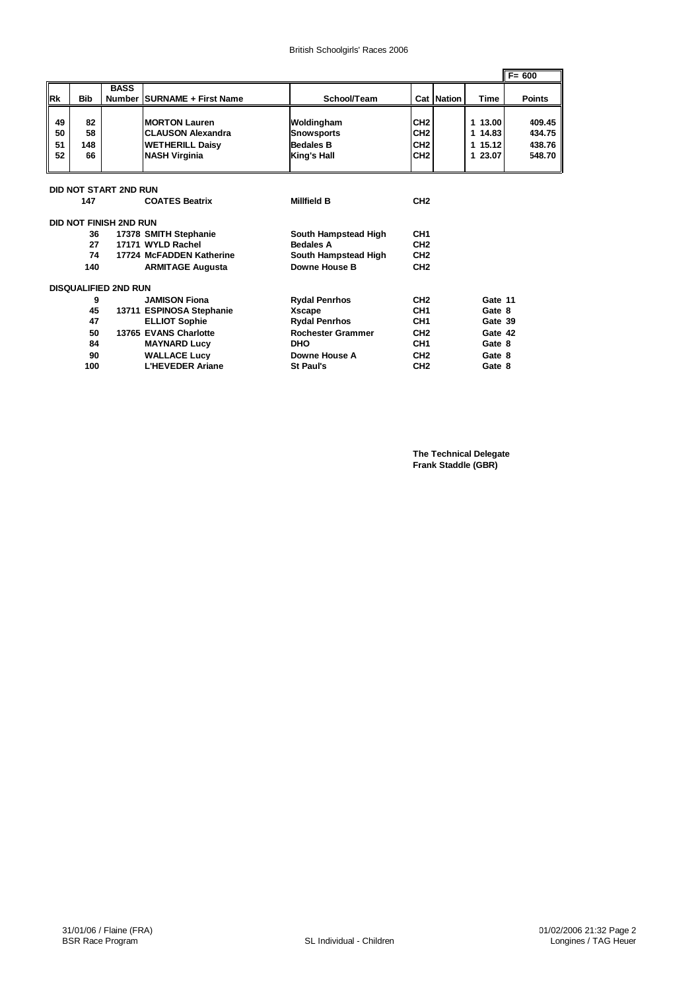|           |            |                             |                             |                          |                 |                   |         | $F = 600$     |
|-----------|------------|-----------------------------|-----------------------------|--------------------------|-----------------|-------------------|---------|---------------|
|           |            | <b>BASS</b>                 |                             |                          |                 |                   |         |               |
| <b>Rk</b> | <b>Bib</b> |                             | Number SURNAME + First Name | School/Team              |                 | <b>Cat Nation</b> | Time    | <b>Points</b> |
|           |            |                             |                             |                          |                 |                   |         |               |
| 49        | 82         |                             | <b>MORTON Lauren</b>        | Woldingham               | CH <sub>2</sub> |                   | 1 13.00 | 409.45        |
| 50        | 58         |                             | <b>CLAUSON Alexandra</b>    | <b>Snowsports</b>        | CH <sub>2</sub> |                   | 1 14.83 | 434.75        |
| 51        | 148        |                             | <b>WETHERILL Daisy</b>      | <b>Bedales B</b>         | CH <sub>2</sub> |                   | 1 15.12 | 438.76        |
| 52        | 66         |                             | <b>NASH Virginia</b>        | King's Hall              | CH <sub>2</sub> |                   | 1 23.07 | 548.70        |
|           |            |                             |                             |                          |                 |                   |         |               |
|           |            |                             |                             |                          |                 |                   |         |               |
|           |            | DID NOT START 2ND RUN       |                             |                          |                 |                   |         |               |
|           | 147        |                             | <b>COATES Beatrix</b>       | <b>Millfield B</b>       | CH <sub>2</sub> |                   |         |               |
|           |            | DID NOT FINISH 2ND RUN      |                             |                          |                 |                   |         |               |
|           | 36         |                             | 17378 SMITH Stephanie       | South Hampstead High     | CH <sub>1</sub> |                   |         |               |
|           | 27         |                             | 17171 WYLD Rachel           | <b>Bedales A</b>         | CH <sub>2</sub> |                   |         |               |
|           | 74         |                             | 17724 McFADDEN Katherine    | South Hampstead High     | CH <sub>2</sub> |                   |         |               |
|           | 140        |                             | <b>ARMITAGE Augusta</b>     | Downe House B            | CH <sub>2</sub> |                   |         |               |
|           |            |                             |                             |                          |                 |                   |         |               |
|           |            | <b>DISQUALIFIED 2ND RUN</b> |                             |                          |                 |                   |         |               |
|           | 9          |                             | <b>JAMISON Fiona</b>        | <b>Rydal Penrhos</b>     | CH <sub>2</sub> |                   | Gate 11 |               |
|           | 45         |                             | 13711 ESPINOSA Stephanie    | Xscape                   | CH <sub>1</sub> |                   | Gate 8  |               |
|           | 47         |                             | <b>ELLIOT Sophie</b>        | <b>Rydal Penrhos</b>     | CH <sub>1</sub> |                   | Gate 39 |               |
|           | 50         |                             | 13765 EVANS Charlotte       | <b>Rochester Grammer</b> | CH <sub>2</sub> |                   | Gate 42 |               |
|           | 84         |                             | <b>MAYNARD Lucy</b>         | <b>DHO</b>               | CH <sub>1</sub> |                   | Gate 8  |               |
|           | 90         |                             | <b>WALLACE Lucy</b>         | Downe House A            | CH <sub>2</sub> |                   | Gate 8  |               |
|           | 100        |                             | <b>L'HEVEDER Ariane</b>     | <b>St Paul's</b>         | CH <sub>2</sub> |                   | Gate 8  |               |

**The Technical Delegate Frank Staddle (GBR)**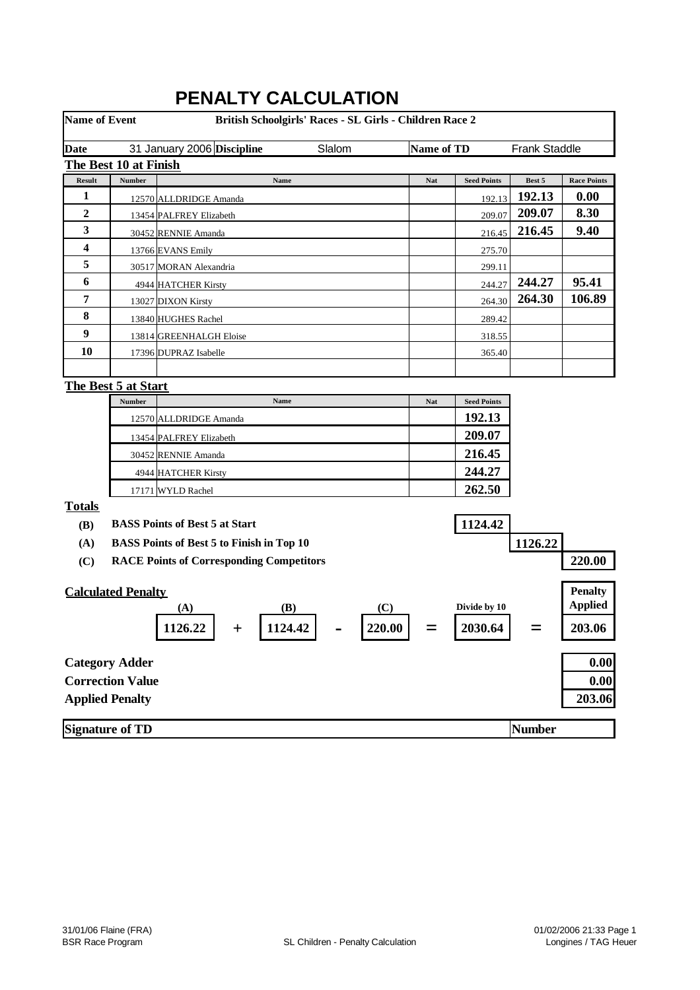| <b>Name of Event</b> |                           | British Schoolgirls' Races - SL Girls - Children Race 2 |            |                    |                      |                                  |
|----------------------|---------------------------|---------------------------------------------------------|------------|--------------------|----------------------|----------------------------------|
| <b>Date</b>          |                           | 31 January 2006 Discipline<br>Slalom                    | Name of TD |                    | <b>Frank Staddle</b> |                                  |
|                      | The Best 10 at Finish     |                                                         |            |                    |                      |                                  |
| <b>Result</b>        | <b>Number</b>             | Name                                                    | Nat        | <b>Seed Points</b> | Best 5               | <b>Race Points</b>               |
| $\mathbf{1}$         |                           | 12570 ALLDRIDGE Amanda                                  |            | 192.13             | 192.13               | 0.00                             |
| 2                    |                           | 13454 PALFREY Elizabeth                                 |            | 209.07             | 209.07               | 8.30                             |
| 3                    |                           | 30452 RENNIE Amanda                                     |            | 216.45             | 216.45               | 9.40                             |
| 4                    |                           | 13766 EVANS Emily                                       |            | 275.70             |                      |                                  |
| 5                    |                           | 30517 MORAN Alexandria                                  |            | 299.11             |                      |                                  |
| 6                    |                           | 4944 HATCHER Kirsty                                     |            | 244.27             | 244.27               | 95.41                            |
| 7                    |                           | 13027 DIXON Kirsty                                      |            | 264.30             | 264.30               | 106.89                           |
| 8                    |                           | 13840 HUGHES Rachel                                     |            | 289.42             |                      |                                  |
| 9                    |                           | 13814 GREENHALGH Eloise                                 |            | 318.55             |                      |                                  |
| 10                   |                           | 17396 DUPRAZ Isabelle                                   |            | 365.40             |                      |                                  |
|                      |                           |                                                         |            |                    |                      |                                  |
|                      | The Best 5 at Start       |                                                         |            |                    |                      |                                  |
|                      | Number                    | Name                                                    | Nat        | <b>Seed Points</b> |                      |                                  |
|                      |                           | 12570 ALLDRIDGE Amanda                                  |            | 192.13             |                      |                                  |
|                      |                           | 13454 PALFREY Elizabeth                                 |            | 209.07             |                      |                                  |
|                      |                           | 30452 RENNIE Amanda                                     |            | 216.45             |                      |                                  |
|                      |                           | 4944 HATCHER Kirsty                                     |            | 244.27             |                      |                                  |
|                      |                           | 17171 WYLD Rachel                                       |            | 262.50             |                      |                                  |
| <b>Totals</b>        |                           |                                                         |            |                    |                      |                                  |
| <b>(B)</b>           |                           | <b>BASS Points of Best 5 at Start</b>                   |            | 1124.42            |                      |                                  |
| (A)                  |                           | <b>BASS Points of Best 5 to Finish in Top 10</b>        |            |                    | 1126.22              |                                  |
| (C)                  |                           | <b>RACE Points of Corresponding Competitors</b>         |            |                    |                      | 220.00                           |
|                      | <b>Calculated Penalty</b> | (B)<br>(C)<br>(A)                                       |            | Divide by 10       |                      | <b>Penalty</b><br><b>Applied</b> |
|                      |                           | 1124.42<br>220.00<br>1126.22                            |            | 2030.64            |                      | 203.06                           |
|                      | <b>Category Adder</b>     |                                                         |            |                    |                      | 0.00                             |
|                      | <b>Correction Value</b>   |                                                         |            |                    |                      | 0.00                             |
|                      | <b>Applied Penalty</b>    |                                                         |            |                    |                      | 203.06                           |
|                      | <b>Signature of TD</b>    |                                                         |            |                    | <b>Number</b>        |                                  |

## **PENALTY CALCULATION**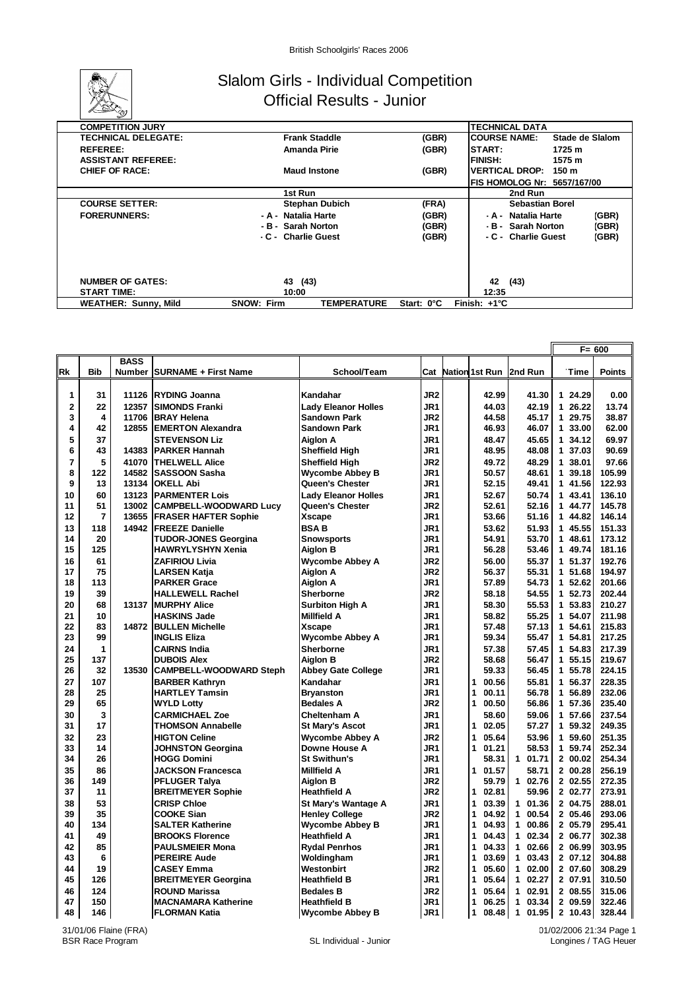

#### Slalom Girls - Individual Competition Official Results - Junior

| <b>COMPETITION JURY</b>     |                                         |            | <b>TECHNICAL DATA</b>                  |
|-----------------------------|-----------------------------------------|------------|----------------------------------------|
| <b>TECHNICAL DELEGATE:</b>  | <b>Frank Staddle</b>                    | (GBR)      | <b>COURSE NAME:</b><br>Stade de Slalom |
| <b>REFEREE:</b>             | Amanda Pirie                            | (GBR)      | <b>START:</b><br>1725 m                |
| <b>ASSISTANT REFEREE:</b>   |                                         |            | <b>FINISH:</b><br>1575 m               |
| <b>CHIEF OF RACE:</b>       | <b>Maud Instone</b>                     | (GBR)      | <b>VERTICAL DROP:</b><br>150 m         |
|                             |                                         |            | FIS HOMOLOG Nr: 5657/167/00            |
|                             | 1st Run                                 |            | 2nd Run                                |
| <b>COURSE SETTER:</b>       | <b>Stephan Dubich</b>                   | (FRA)      | Sebastian Borel                        |
| <b>FORERUNNERS:</b>         | - A - Natalia Harte                     | (GBR)      | (GBR)<br>- A - Natalia Harte           |
|                             | - B - Sarah Norton                      | (GBR)      | (GBR)<br>- B - Sarah Norton            |
|                             | - C - Charlie Guest                     | (GBR)      | (GBR)<br>- C - Charlie Guest           |
|                             |                                         |            |                                        |
| <b>NUMBER OF GATES:</b>     | 43 (43)                                 |            | (43)<br>42                             |
| <b>START TIME:</b>          | 10:00                                   |            | 12:35                                  |
| <b>WEATHER: Sunny, Mild</b> | <b>SNOW: Firm</b><br><b>TEMPERATURE</b> | Start: 0°C | Finish: $+1^{\circ}C$                  |
|                             |                                         |            |                                        |

|                         |            |             |                                |                            |                 |                           |                       |             | $F = 600$     |
|-------------------------|------------|-------------|--------------------------------|----------------------------|-----------------|---------------------------|-----------------------|-------------|---------------|
|                         |            | <b>BASS</b> |                                |                            |                 |                           |                       |             |               |
| Rk                      | <b>Bib</b> |             | Number   SURNAME + First Name  | School/Team                |                 | <b>Cat Nation 1st Run</b> | 2nd Run               | <b>Time</b> | <b>Points</b> |
|                         |            |             |                                |                            |                 |                           |                       |             |               |
| 1                       | 31         | 11126       | <b>RYDING Joanna</b>           | Kandahar                   | JR <sub>2</sub> | 42.99                     | 41.30                 | 1 24.29     | 0.00          |
| $\overline{\mathbf{2}}$ | 22         | 12357       | <b>SIMONDS Franki</b>          | <b>Lady Eleanor Holles</b> | JR1             | 44.03                     | 42.19                 | 1 26.22     | 13.74         |
| 3                       | 4          | 11706       | <b>BRAY Helena</b>             | <b>Sandown Park</b>        | JR <sub>2</sub> | 44.58                     | 45.17                 | 1 29.75     | 38.87         |
| 4                       | 42         | 12855       | <b>IEMERTON Alexandra</b>      | <b>Sandown Park</b>        | JR1             | 46.93                     | 46.07                 | 1 33.00     | 62.00         |
| 5                       | 37         |             | <b>STEVENSON Liz</b>           | <b>Aiglon A</b>            | JR1             | 48.47                     | 45.65                 | 1 34.12     | 69.97         |
| 6                       | 43         | 14383       | <b>PARKER Hannah</b>           | <b>Sheffield High</b>      | JR1             | 48.95                     | 48.08                 | 1 37.03     | 90.69         |
| 7                       | 5          | 41070       | <b>THELWELL Alice</b>          | <b>Sheffield High</b>      | JR <sub>2</sub> | 49.72                     | 48.29                 | 1 38.01     | 97.66         |
| 8                       | 122        | 14582       | <b>SASSOON Sasha</b>           | <b>Wycombe Abbey B</b>     | JR1             | 50.57                     | 48.61                 | 139.18      | 105.99        |
| 9                       | 13         | 13134       | <b>OKELL Abi</b>               | <b>Queen's Chester</b>     | JR1             | 52.15                     | 49.41                 | 1 41.56     | 122.93        |
| 10                      | 60         | 13123       | <b>PARMENTER Lois</b>          | <b>Lady Eleanor Holles</b> | JR1             | 52.67                     | 50.74                 | 1 43.41     | 136.10        |
| 11                      | 51         | 13002       | <b>CAMPBELL-WOODWARD Lucy</b>  | Queen's Chester            | JR <sub>2</sub> | 52.61                     | 52.16                 | 1 44.77     | 145.78        |
| 12                      | 7          | 13655       | <b>FRASER HAFTER Sophie</b>    | <b>Xscape</b>              | JR1             | 53.66                     | 51.16                 | 1 44.82     | 146.14        |
| 13                      | 118        | 14942       | <b>FREEZE Danielle</b>         | <b>BSAB</b>                | JR1             | 53.62                     | 51.93                 | 1 45.55     | 151.33        |
| 14                      | 20         |             | <b>TUDOR-JONES Georgina</b>    | <b>Snowsports</b>          | JR1             | 54.91                     | 53.70                 | 1 48.61     | 173.12        |
| 15                      | 125        |             | <b>HAWRYLYSHYN Xenia</b>       | <b>Aiglon B</b>            | JR1             | 56.28                     | 53.46                 | 1 49.74     | 181.16        |
| 16                      | 61         |             | <b>ZAFIRIOU Livia</b>          | <b>Wycombe Abbey A</b>     | JR <sub>2</sub> | 56.00                     | 55.37                 | 1 51.37     | 192.76        |
| 17                      | 75         |             | <b>LARSEN Katja</b>            | <b>Aiglon A</b>            | JR <sub>2</sub> | 56.37                     | 55.31                 | 1 51.68     | 194.97        |
| 18                      | 113        |             | <b>PARKER Grace</b>            | <b>Aiglon A</b>            | JR1             | 57.89                     | 54.73                 | 1 52.62     | 201.66        |
| 19                      | 39         |             | <b>HALLEWELL Rachel</b>        | <b>Sherborne</b>           | JR2             | 58.18                     | 54.55                 | 1 52.73     | 202.44        |
| 20                      | 68         | 13137       | <b>MURPHY Alice</b>            | <b>Surbiton High A</b>     | JR1             | 58.30                     | 55.53                 | 1 53.83     | 210.27        |
| 21                      | 10         |             | <b>HASKINS Jade</b>            | <b>Millfield A</b>         | JR1             | 58.82                     | 55.25                 | 1 54.07     | 211.98        |
| 22                      | 83         | 14872       | <b>BULLEN Michelle</b>         | <b>Xscape</b>              | JR1             | 57.48                     | 57.13                 | 1<br>54.61  | 215.83        |
| 23                      | 99         |             | <b>INGLIS Eliza</b>            | <b>Wycombe Abbey A</b>     | JR1             | 59.34                     | 55.47                 | 1 54.81     | 217.25        |
| 24                      | 1          |             | <b>CAIRNS India</b>            | <b>Sherborne</b>           | JR1             | 57.38                     | 57.45                 | 1 54.83     | 217.39        |
| 25                      | 137        |             | <b>DUBOIS Alex</b>             | <b>Aiglon B</b>            | JR <sub>2</sub> | 58.68                     | 56.47                 | 1 55.15     | 219.67        |
| 26                      | 32         | 13530       | <b>CAMPBELL-WOODWARD Steph</b> | <b>Abbey Gate College</b>  | JR1             | 59.33                     | 56.45                 | 1 55.78     | 224.15        |
| 27                      | 107        |             | <b>BARBER Kathryn</b>          | Kandahar                   | JR1             | $\mathbf{1}$<br>00.56     | 55.81                 | 56.37<br>1  | 228.35        |
| 28                      | 25         |             | <b>HARTLEY Tamsin</b>          | <b>Bryanston</b>           | JR1             | 1<br>00.11                | 56.78                 | 1 56.89     | 232.06        |
| 29                      | 65         |             | <b>WYLD Lottv</b>              | <b>Bedales A</b>           | JR <sub>2</sub> | 1<br>00.50                | 56.86                 | 1<br>57.36  | 235.40        |
| 30                      | 3          |             | <b>CARMICHAEL Zoe</b>          | Cheltenham A               | JR1             | 58.60                     | 59.06                 | 1 57.66     | 237.54        |
| 31                      | 17         |             | <b>THOMSON Annabelle</b>       | <b>St Mary's Ascot</b>     | JR1             | 02.05<br>1                | 57.27                 | 1<br>59.32  | 249.35        |
| 32                      | 23         |             | <b>HIGTON Celine</b>           | <b>Wycombe Abbey A</b>     | JR <sub>2</sub> | 1<br>05.64                | 53.96                 | 1 59.60     | 251.35        |
| 33                      | 14         |             | <b>JOHNSTON Georgina</b>       | Downe House A              | JR1             | $\mathbf{1}$<br>01.21     | 58.53                 | 1 59.74     | 252.34        |
| 34                      | 26         |             | <b>HOGG Domini</b>             | <b>St Swithun's</b>        | JR1             | 58.31                     | 1 01.71               | 200.02      | 254.34        |
| 35                      | 86         |             | <b>JACKSON Francesca</b>       | <b>Millfield A</b>         | JR <sub>1</sub> | 1<br>01.57                | 58.71                 | 2 00.28     | 256.19        |
| 36                      | 149        |             | PFLUGER Talya                  | <b>Aiglon B</b>            | JR <sub>2</sub> | 59.79                     | 1 02.76               | 2 02.55     | 272.35        |
| 37                      | 11         |             | <b>BREITMEYER Sophie</b>       | <b>Heathfield A</b>        | JR <sub>2</sub> | 02.81<br>1                | 59.96                 | 2 02.77     | 273.91        |
| 38                      | 53         |             | <b>CRISP Chloe</b>             | St Mary's Wantage A        | JR1             | 1<br>03.39                | 01.36<br>$\mathbf{1}$ | 2 04.75     | 288.01        |
| 39                      | 35         |             | <b>COOKE Sian</b>              | <b>Henley College</b>      | JR <sub>2</sub> | 1<br>04.92                | 1 00.54               | 2 05.46     | 293.06        |
| 40                      | 134        |             | <b>SALTER Katherine</b>        | <b>Wycombe Abbey B</b>     | JR1             | 1<br>04.93                | 00.86<br>$\mathbf{1}$ | 2 05.79     | 295.41        |
| 41                      | 49         |             | <b>BROOKS Florence</b>         | <b>Heathfield A</b>        | JR1             | 1<br>04.43                | 1 02.34               | 2 06.77     | 302.38        |
| 42                      | 85         |             | <b>PAULSMEIER Mona</b>         | <b>Rydal Penrhos</b>       | JR <sub>1</sub> | 04.33<br>1                | 1 02.66               | 2 06.99     | 303.95        |
| 43                      | 6          |             | <b>PEREIRE Aude</b>            | Woldingham                 | JR1             | 1<br>03.69                | 1 03.43               | 2 07.12     | 304.88        |
| 44                      | 19         |             | <b>CASEY Emma</b>              | Westonbirt                 | JR2             | 05.60<br>1                | 102.00                | 2 07.60     | 308.29        |
| 45                      | 126        |             | <b>BREITMEYER Georgina</b>     | <b>Heathfield B</b>        | JR1             | 05.64<br>1                | 1 02.27               | 2 07.91     | 310.50        |
| 46                      | 124        |             | <b>ROUND Marissa</b>           | <b>Bedales B</b>           | JR <sub>2</sub> | 05.64<br>1                | 1 02.91               | 2 08.55     | 315.06        |
| 47                      | 150        |             | <b>MACNAMARA Katherine</b>     | <b>Heathfield B</b>        | JR <sub>1</sub> | 06.25<br>1                | 03.34<br>$\mathbf{1}$ | 2 09.59     | 322.46        |
| 48                      | 146        |             | <b>FLORMAN Katia</b>           | <b>Wycombe Abbey B</b>     | JR1             | 1<br>08.48                | 1<br>01.95            | 2 10.43     | 328.44        |

01/02/2006 21:34 Page 1 Longines / TAG Heuer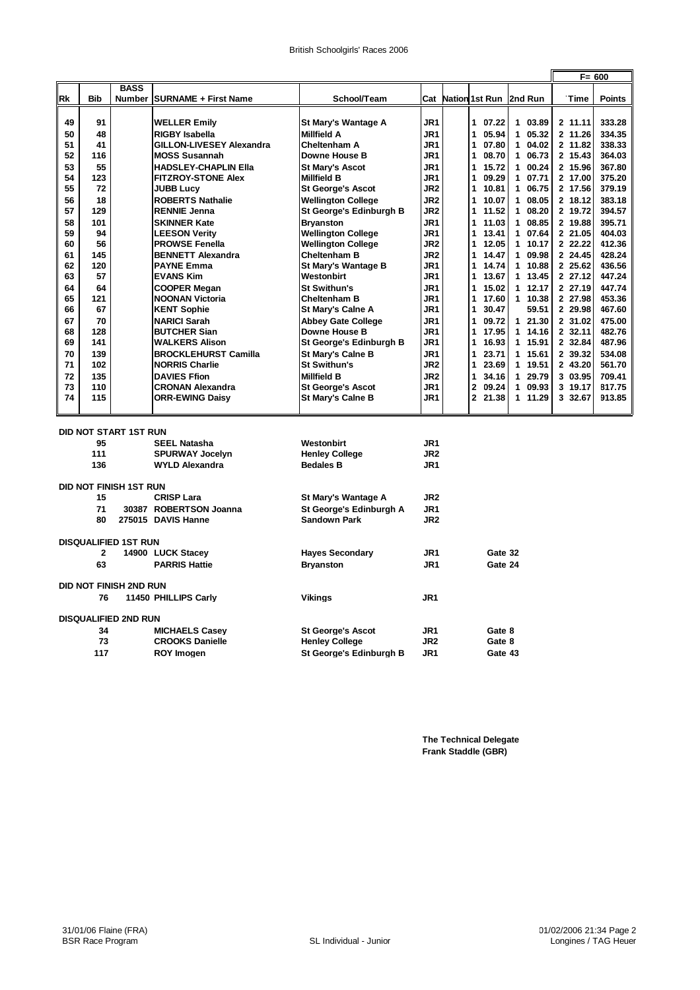|    |            |                               |                                                          |                                           |                        |                         |                            |          | $F = 600$     |
|----|------------|-------------------------------|----------------------------------------------------------|-------------------------------------------|------------------------|-------------------------|----------------------------|----------|---------------|
|    |            | <b>BASS</b>                   |                                                          |                                           |                        |                         |                            |          |               |
| Rk | <b>Bib</b> | Number                        | <b>SURNAME + First Name</b>                              | School/Team                               |                        |                         | Cat Nation 1st Run 2nd Run | Time     | <b>Points</b> |
| 49 | 91         |                               |                                                          | St Mary's Wantage A                       | JR1                    | $\mathbf{1}$<br>07.22   | 1 03.89                    | 2 11.11  | 333.28        |
| 50 | 48         |                               | <b>WELLER Emily</b>                                      |                                           | JR1                    | $\mathbf{1}$<br>05.94   | 1 05.32                    | 2 11.26  | 334.35        |
| 51 | 41         |                               | <b>RIGBY Isabella</b><br><b>GILLON-LIVESEY Alexandra</b> | <b>Millfield A</b><br>Cheltenham A        | JR1                    | 07.80<br>1              | $1\ 04.02$                 | 2 11.82  | 338.33        |
| 52 | 116        |                               | <b>MOSS Susannah</b>                                     | Downe House B                             | JR1                    | 1<br>08.70              | 1 06.73                    | 2 15.43  | 364.03        |
| 53 | 55         |                               | <b>HADSLEY-CHAPLIN Ella</b>                              | <b>St Mary's Ascot</b>                    | JR1                    | 15.72<br>1              | 100.24                     | 2 15.96  | 367.80        |
| 54 | 123        |                               | <b>FITZROY-STONE Alex</b>                                | <b>Millfield B</b>                        | JR1                    | 09.29<br>1              | 1 07.71                    | 2 17.00  | 375.20        |
| 55 | 72         |                               | <b>JUBB Lucy</b>                                         | <b>St George's Ascot</b>                  | JR <sub>2</sub>        | 1<br>10.81              | 1 06.75                    | 2 17.56  | 379.19        |
| 56 | 18         |                               | <b>ROBERTS Nathalie</b>                                  | <b>Wellington College</b>                 | JR <sub>2</sub>        | 1<br>10.07              | 1 08.05                    | 2 18.12  | 383.18        |
| 57 | 129        |                               | <b>RENNIE Jenna</b>                                      | St George's Edinburgh B                   | JR <sub>2</sub>        | 1<br>11.52              | 1 08.20                    | 2 19.72  | 394.57        |
| 58 | 101        |                               | <b>SKINNER Kate</b>                                      | <b>Bryanston</b>                          | JR <sub>1</sub>        | 1<br>11.03              | 1 08.85                    | 2 19.88  | 395.71        |
| 59 | 94         |                               | <b>LEESON Verity</b>                                     | <b>Wellington College</b>                 | JR1                    | 13.41<br>1              | 1 07.64                    | 2 21.05  | 404.03        |
| 60 | 56         |                               | <b>PROWSE Fenella</b>                                    | <b>Wellington College</b>                 | JR <sub>2</sub>        | 1.<br>12.05             | 1 10.17                    | 2 22.22  | 412.36        |
| 61 | 145        |                               | <b>BENNETT Alexandra</b>                                 | <b>Cheltenham B</b>                       | JR <sub>2</sub>        | 1<br>14.47              | 1 09.98                    | 2 24.45  | 428.24        |
| 62 | 120        |                               | <b>PAYNE Emma</b>                                        | St Mary's Wantage B                       | JR1                    | 1<br>14.74              | 1 10.88                    | 2 25.62  | 436.56        |
| 63 | 57         |                               | <b>EVANS Kim</b>                                         | Westonbirt                                | JR1                    | 1<br>13.67              | 1 13.45                    | 2 27.12  | 447.24        |
| 64 | 64         |                               | <b>COOPER Megan</b>                                      | <b>St Swithun's</b>                       | JR1                    | 15.02<br>1              | 1.12.17                    | 2 27.19  | 447.74        |
| 65 | 121        |                               | <b>NOONAN Victoria</b>                                   | Cheltenham B                              | JR1                    | 1<br>17.60              | 1 10.38                    | 2 27.98  | 453.36        |
| 66 | 67         |                               | <b>KENT Sophie</b>                                       | <b>St Mary's Calne A</b>                  | JR1                    | 30.47<br>1              | 59.51                      | 2 29.98  | 467.60        |
| 67 | 70         |                               | <b>NARICI Sarah</b>                                      | <b>Abbey Gate College</b>                 | JR1                    | 1<br>09.72              | 121.30                     | 2 31.02  | 475.00        |
| 68 | 128        |                               | <b>BUTCHER Sian</b>                                      | Downe House B                             | JR1                    | 17.95<br>1              | 1 14.16                    | 2, 32.11 | 482.76        |
| 69 | 141        |                               | <b>WALKERS Alison</b>                                    | St George's Edinburgh B                   | JR1                    | 16.93<br>1              | 1 15.91                    | 232.84   | 487.96        |
| 70 | 139        |                               | <b>BROCKLEHURST Camilla</b>                              | <b>St Mary's Calne B</b>                  | JR1                    | $\mathbf{1}$<br>23.71   | 1 15.61                    | 2 39.32  | 534.08        |
| 71 | 102        |                               | <b>NORRIS Charlie</b>                                    | <b>St Swithun's</b>                       | JR <sub>2</sub>        | 1<br>23.69              | 1 19.51                    | 2 43.20  | 561.70        |
| 72 | 135        |                               | <b>DAVIES Ffion</b>                                      | <b>Millfield B</b>                        | JR <sub>2</sub>        | 1<br>34.16              | 1 29.79                    | 3 03.95  | 709.41        |
| 73 | 110        |                               | <b>CRONAN Alexandra</b>                                  | <b>St George's Ascot</b>                  | JR1                    | $\overline{2}$<br>09.24 | 1 09.93                    | 3 19.17  | 817.75        |
| 74 | 115        |                               | <b>ORR-EWING Daisy</b>                                   | St Mary's Calne B                         | JR1                    | $\mathbf{2}$<br>21.38   | 1 11.29                    | 3 32.67  | 913.85        |
|    |            |                               |                                                          |                                           |                        |                         |                            |          |               |
|    |            | <b>DID NOT START 1ST RUN</b>  |                                                          |                                           |                        |                         |                            |          |               |
|    | 95         |                               | <b>SEEL Natasha</b>                                      | Westonbirt                                | JR1                    |                         |                            |          |               |
|    | 111<br>136 |                               | <b>SPURWAY Jocelyn</b><br><b>WYLD Alexandra</b>          | <b>Henley College</b><br><b>Bedales B</b> | JR <sub>2</sub><br>JR1 |                         |                            |          |               |
|    |            |                               |                                                          |                                           |                        |                         |                            |          |               |
|    |            | <b>DID NOT FINISH 1ST RUN</b> |                                                          |                                           |                        |                         |                            |          |               |
|    | 15         |                               | <b>CRISP Lara</b>                                        | St Mary's Wantage A                       | JR <sub>2</sub>        |                         |                            |          |               |
|    | 71         |                               | 30387 ROBERTSON Joanna                                   | St George's Edinburgh A                   | JR1                    |                         |                            |          |               |
|    | 80         |                               | 275015 DAVIS Hanne                                       | <b>Sandown Park</b>                       | JR <sub>2</sub>        |                         |                            |          |               |
|    |            | <b>DISQUALIFIED 1ST RUN</b>   |                                                          |                                           |                        |                         |                            |          |               |
|    | 2          |                               | 14900 LUCK Stacey                                        | <b>Hayes Secondary</b>                    | JR1                    | Gate 32                 |                            |          |               |
|    | 63         |                               | <b>PARRIS Hattie</b>                                     | <b>Bryanston</b>                          | JR1                    | Gate 24                 |                            |          |               |
|    |            | <b>DID NOT FINISH 2ND RUN</b> |                                                          |                                           |                        |                         |                            |          |               |
|    | 76         |                               | 11450 PHILLIPS Carly                                     | <b>Vikings</b>                            | JR <sub>1</sub>        |                         |                            |          |               |
|    |            | <b>DISQUALIFIED 2ND RUN</b>   |                                                          |                                           |                        |                         |                            |          |               |
|    | 34         |                               | <b>MICHAELS Casey</b>                                    | <b>St George's Ascot</b>                  | JR <sub>1</sub>        | Gate 8                  |                            |          |               |
|    | 73         |                               | <b>CROOKS Danielle</b>                                   | <b>Henley College</b>                     | JR <sub>2</sub>        | Gate 8                  |                            |          |               |
|    | 117        |                               | <b>ROY Imogen</b>                                        | St George's Edinburgh B                   | JR1                    | Gate 43                 |                            |          |               |

**The Technical Delegate Frank Staddle (GBR)**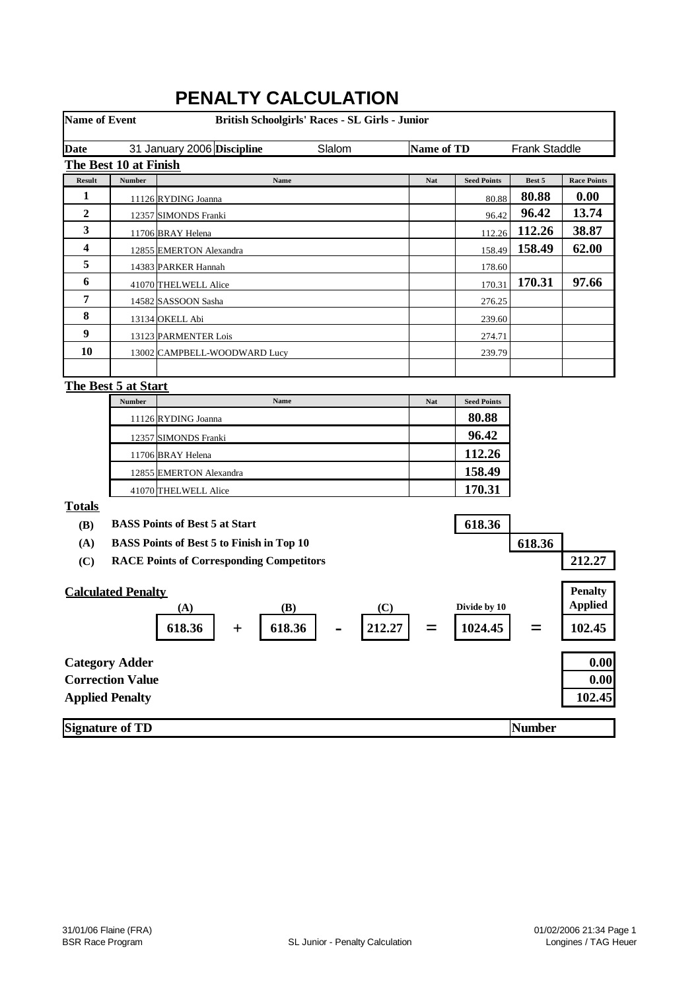| <b>Name of Event</b> |                           | British Schoolgirls' Races - SL Girls - Junior   |            |                    |               |                    |
|----------------------|---------------------------|--------------------------------------------------|------------|--------------------|---------------|--------------------|
| <b>Date</b>          |                           | 31 January 2006 Discipline<br>Slalom             | Name of TD |                    | Frank Staddle |                    |
|                      | The Best 10 at Finish     |                                                  |            |                    |               |                    |
| Result               | <b>Number</b>             | Name                                             | Nat        | <b>Seed Points</b> | Best 5        | <b>Race Points</b> |
| 1                    |                           | 11126 RYDING Joanna                              |            | 80.88              | 80.88         | 0.00               |
| $\overline{2}$       |                           | 12357 SIMONDS Franki                             |            | 96.42              | 96.42         | 13.74              |
| 3                    |                           | 11706 BRAY Helena                                |            | 112.26             | 112.26        | 38.87              |
| 4                    |                           | 12855 EMERTON Alexandra                          |            | 158.49             | 158.49        | 62.00              |
| 5                    |                           | 14383 PARKER Hannah                              |            | 178.60             |               |                    |
| 6                    |                           | 41070 THELWELL Alice                             |            | 170.31             | 170.31        | 97.66              |
| 7                    |                           | 14582 SASSOON Sasha                              |            | 276.25             |               |                    |
| 8                    |                           | 13134 OKELL Abi                                  |            | 239.60             |               |                    |
| $\boldsymbol{9}$     |                           | 13123 PARMENTER Lois                             |            | 274.71             |               |                    |
| 10                   |                           | 13002 CAMPBELL-WOODWARD Lucy                     |            | 239.79             |               |                    |
|                      |                           |                                                  |            |                    |               |                    |
|                      | The Best 5 at Start       |                                                  |            |                    |               |                    |
|                      | Number                    | Name                                             | <b>Nat</b> | <b>Seed Points</b> |               |                    |
|                      |                           | 11126 RYDING Joanna                              |            | 80.88              |               |                    |
|                      |                           | 12357 SIMONDS Franki                             |            | 96.42              |               |                    |
|                      |                           | 11706 BRAY Helena                                |            | 112.26             |               |                    |
|                      |                           | 12855 EMERTON Alexandra                          |            | 158.49             |               |                    |
|                      |                           | 41070 THELWELL Alice                             |            | 170.31             |               |                    |
| <b>Totals</b>        |                           |                                                  |            |                    |               |                    |
| (B)                  |                           | <b>BASS Points of Best 5 at Start</b>            |            | 618.36             |               |                    |
| (A)                  |                           | <b>BASS Points of Best 5 to Finish in Top 10</b> |            |                    | 618.36        |                    |
| (C)                  |                           | <b>RACE Points of Corresponding Competitors</b>  |            |                    |               | 212.27             |
|                      |                           |                                                  |            |                    |               |                    |
|                      | <b>Calculated Penalty</b> |                                                  |            |                    |               | <b>Penalty</b>     |
|                      |                           | (C)<br>(B)<br>(A)                                |            | Divide by 10       |               | <b>Applied</b>     |
|                      |                           | 212.27<br>618.36<br>618.36<br>$\div$             |            | 1024.45            |               | 102.45             |
|                      | <b>Category Adder</b>     |                                                  |            |                    |               | 0.00               |
|                      | <b>Correction Value</b>   |                                                  |            |                    |               | 0.00               |
|                      | <b>Applied Penalty</b>    |                                                  |            |                    |               | 102.45             |
|                      |                           |                                                  |            |                    |               |                    |
|                      | <b>Signature of TD</b>    |                                                  |            |                    | Number        |                    |

# **PENALTY CALCULATION**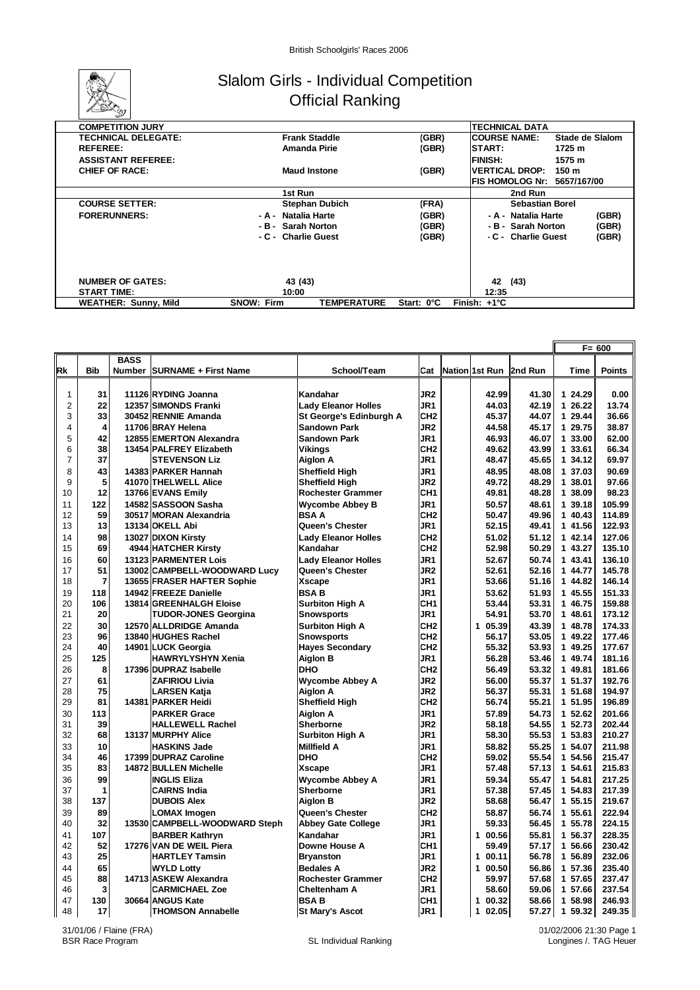

### Slalom Girls - Individual Competition Official Ranking

| <b>COMPETITION JURY</b>     |                                         |            | <b>TECHNICAL DATA</b>                          |
|-----------------------------|-----------------------------------------|------------|------------------------------------------------|
| <b>TECHNICAL DELEGATE:</b>  | <b>Frank Staddle</b>                    | (GBR)      | <b>ICOURSE NAME:</b><br><b>Stade de Slalom</b> |
| <b>REFEREE:</b>             | Amanda Pirie                            | (GBR)      | <b>START:</b><br>1725 m                        |
| <b>ASSISTANT REFEREE:</b>   |                                         |            | <b>FINISH:</b><br>1575 m                       |
| <b>CHIEF OF RACE:</b>       | <b>Maud Instone</b>                     | (GBR)      | <b>IVERTICAL DROP:</b><br>150 m                |
|                             |                                         |            | FIS HOMOLOG Nr:<br>5657/167/00                 |
|                             | 1st Run                                 |            | 2nd Run                                        |
| <b>COURSE SETTER:</b>       | <b>Stephan Dubich</b>                   | (FRA)      | <b>Sebastian Borel</b>                         |
| <b>FORERUNNERS:</b>         | - A - Natalia Harte                     | (GBR)      | (GBR)<br>- A - Natalia Harte                   |
|                             | - B - Sarah Norton                      | (GBR)      | (GBR)<br>- B - Sarah Norton                    |
|                             | - C - Charlie Guest                     | (GBR)      | (GBR)<br>- C - Charlie Guest                   |
|                             |                                         |            |                                                |
|                             |                                         |            |                                                |
|                             |                                         |            |                                                |
| <b>NUMBER OF GATES:</b>     | 43 (43)                                 |            | 42 (43)                                        |
| <b>START TIME:</b>          | 10:00                                   |            | 12:35                                          |
| <b>WEATHER: Sunny, Mild</b> | <b>SNOW: Firm</b><br><b>TEMPERATURE</b> | Start: 0°C | Finish: $+1^{\circ}C$                          |

|                |            |             |                               |                            |                 |                       |         |             | $F = 600$     |
|----------------|------------|-------------|-------------------------------|----------------------------|-----------------|-----------------------|---------|-------------|---------------|
|                |            | <b>BASS</b> |                               |                            |                 |                       |         |             |               |
| <b>Rk</b>      | <b>Bib</b> |             | Number SURNAME + First Name   | School/Team                | Cat             | Nation 1st Run        | 2nd Run | <b>Time</b> | <b>Points</b> |
|                |            |             |                               |                            |                 |                       |         |             |               |
| 1              | 31         |             | 11126 RYDING Joanna           | Kandahar                   | JR <sub>2</sub> | 42.99                 | 41.30   | 1 24.29     | 0.00          |
| $\overline{2}$ | 22         |             | 12357 SIMONDS Franki          | <b>Lady Eleanor Holles</b> | JR1             | 44.03                 | 42.19   | 1 26.22     | 13.74         |
| 3              | 33         |             | 30452 RENNIE Amanda           | St George's Edinburgh A    | CH <sub>2</sub> | 45.37                 | 44.07   | 1 29.44     | 36.66         |
| 4              | 4          |             | 11706 BRAY Helena             | <b>Sandown Park</b>        | JR <sub>2</sub> | 44.58                 | 45.17   | 1 29.75     | 38.87         |
| 5              | 42         |             | 12855 EMERTON Alexandra       | <b>Sandown Park</b>        | JR <sub>1</sub> | 46.93                 | 46.07   | 1 33.00     | 62.00         |
| 6              | 38         |             | 13454 PALFREY Elizabeth       | Vikings                    | CH <sub>2</sub> | 49.62                 | 43.99   | 1 33.61     | 66.34         |
| $\overline{7}$ | 37         |             | <b>STEVENSON Liz</b>          | Aiglon A                   | JR1             | 48.47                 | 45.65   | 1 34.12     | 69.97         |
| 8              | 43         |             | 14383 PARKER Hannah           | <b>Sheffield High</b>      | JR1             | 48.95                 | 48.08   | 1 37.03     | 90.69         |
| 9              | 5          |             | 41070 THELWELL Alice          | <b>Sheffield Hiah</b>      | JR <sub>2</sub> | 49.72                 | 48.29   | 1 38.01     | 97.66         |
| 10             | 12         |             | 13766 EVANS Emily             | Rochester Grammer          | CH <sub>1</sub> | 49.81                 | 48.28   | 1 38.09     | 98.23         |
| 11             | 122        |             | 14582 SASSOON Sasha           | <b>Wycombe Abbey B</b>     | JR1             | 50.57                 | 48.61   | 1 39.18     | 105.99        |
| 12             | 59         |             | 30517 MORAN Alexandria        | <b>BSAA</b>                | CH <sub>2</sub> | 50.47                 | 49.96   | 1 40.43     | 114.89        |
| 13             | 13         |             | 13134 OKELL Abi               | Queen's Chester            | JR1             | 52.15                 | 49.41   | 1 41.56     | 122.93        |
| 14             | 98         |             | 13027 DIXON Kirsty            | <b>Lady Eleanor Holles</b> | CH <sub>2</sub> | 51.02                 | 51.12   | 1 42.14     | 127.06        |
| 15             | 69         |             | 4944 HATCHER Kirsty           | Kandahar                   | CH <sub>2</sub> | 52.98                 | 50.29   | 1 43.27     | 135.10        |
| 16             | 60         |             | 13123 PARMENTER Lois          | <b>Lady Eleanor Holles</b> | JR1             | 52.67                 | 50.74   | 1 43.41     | 136.10        |
| 17             | 51         |             | 13002 CAMPBELL-WOODWARD Lucy  | Queen's Chester            | JR <sub>2</sub> | 52.61                 | 52.16   | 1 44.77     | 145.78        |
| 18             | 7          |             | 13655 FRASER HAFTER Sophie    | Xscape                     | JR1             | 53.66                 | 51.16   | 1 44.82     | 146.14        |
| 19             | 118        |             | 14942 FREEZE Danielle         | <b>BSAB</b>                | JR1             | 53.62                 | 51.93   | 1 45.55     | 151.33        |
| 20             | 106        |             | 13814 GREENHALGH Eloise       | <b>Surbiton High A</b>     | CH <sub>1</sub> | 53.44                 | 53.31   | 1 46.75     | 159.88        |
| 21             | 20         |             | <b>TUDOR-JONES Georgina</b>   | <b>Snowsports</b>          | JR1             | 54.91                 | 53.70   | 1 48.61     | 173.12        |
| 22             | 30         |             | 12570 ALLDRIDGE Amanda        | <b>Surbiton High A</b>     | CH <sub>2</sub> | 1 05.39               | 43.39   | 1 48.78     | 174.33        |
| 23             | 96         |             | 13840 HUGHES Rachel           | <b>Snowsports</b>          | CH <sub>2</sub> | 56.17                 | 53.05   | 1 49.22     | 177.46        |
| 24             | 40         |             | 14901 LUCK Georgia            | <b>Hayes Secondary</b>     | CH <sub>2</sub> | 55.32                 | 53.93   | 1 49.25     | 177.67        |
| 25             | 125        |             | HAWRYLYSHYN Xenia             | <b>Aiglon B</b>            | JR <sub>1</sub> | 56.28                 | 53.46   | 1 49.74     | 181.16        |
| 26             | 8          |             | 17396 DUPRAZ Isabelle         | <b>DHO</b>                 | CH <sub>2</sub> | 56.49                 | 53.32   | 1 49.81     | 181.66        |
| 27             | 61         |             | <b>ZAFIRIOU Livia</b>         | <b>Wycombe Abbey A</b>     | JR <sub>2</sub> | 56.00                 | 55.37   | 1 51.37     | 192.76        |
| 28             | 75         |             | <b>LARSEN Katja</b>           | <b>Aiglon A</b>            | JR <sub>2</sub> | 56.37                 | 55.31   | 1 51.68     | 194.97        |
| 29             | 81         |             | 14381 PARKER Heidi            | <b>Sheffield High</b>      | CH <sub>2</sub> | 56.74                 | 55.21   | 1 51.95     | 196.89        |
| 30             | 113        |             | <b>PARKER Grace</b>           | <b>Aiglon A</b>            | JR1             | 57.89                 | 54.73   | 1 52.62     | 201.66        |
| 31             | 39         |             | <b>HALLEWELL Rachel</b>       | <b>Sherborne</b>           | JR <sub>2</sub> | 58.18                 | 54.55   | 1 52.73     | 202.44        |
| 32             | 68         |             | 13137 MURPHY Alice            | <b>Surbiton High A</b>     | JR1             | 58.30                 | 55.53   | 1 53.83     | 210.27        |
| 33             | 10         |             | <b>HASKINS Jade</b>           | <b>Millfield A</b>         | JR <sub>1</sub> | 58.82                 | 55.25   | 1 54.07     | 211.98        |
| 34             | 46         |             | 17399 DUPRAZ Caroline         | <b>DHO</b>                 | CH <sub>2</sub> | 59.02                 | 55.54   | 1 54.56     | 215.47        |
| 35             | 83         |             | 14872 BULLEN Michelle         | Xscape                     | JR1             | 57.48                 | 57.13   | 1 54.61     | 215.83        |
| 36             | 99         |             | <b>INGLIS Eliza</b>           | <b>Wycombe Abbey A</b>     | JR1             | 59.34                 | 55.47   | 1 54.81     | 217.25        |
| 37             | 1          |             | <b>CAIRNS India</b>           | <b>Sherborne</b>           | JR <sub>1</sub> | 57.38                 | 57.45   | 1 54.83     | 217.39        |
| 38             | 137        |             | <b>DUBOIS Alex</b>            | <b>Aiglon B</b>            | JR <sub>2</sub> | 58.68                 | 56.47   | 1 55.15     | 219.67        |
| 39             | 89         |             | LOMAX Imogen                  | Queen's Chester            | CH <sub>2</sub> | 58.87                 | 56.74   | 1 55.61     | 222.94        |
| 40             | 32         |             | 13530 CAMPBELL-WOODWARD Steph | <b>Abbey Gate College</b>  | JR1             | 59.33                 | 56.45   | 1 55.78     | 224.15        |
| 41             | 107        |             | <b>BARBER Kathryn</b>         | Kandahar                   | JR1             | 1 00.56               | 55.81   | 1 56.37     | 228.35        |
| 42             | 52         |             | 17276 VAN DE WEIL Piera       | Downe House A              | CH <sub>1</sub> | 59.49                 | 57.17   | 1 56.66     | 230.42        |
| 43             | 25         |             | <b>HARTLEY Tamsin</b>         | <b>Bryanston</b>           | JR1             | 00.11<br>1            | 56.78   | 1 56.89     | 232.06        |
| 44             | 65         |             | <b>WYLD Lottv</b>             | <b>Bedales A</b>           | JR <sub>2</sub> | 1 00.50               | 56.86   | 1 57.36     | 235.40        |
| 45             | 88         |             | 14713 ASKEW Alexandra         | <b>Rochester Grammer</b>   | CH <sub>2</sub> | 59.97                 | 57.68   | 1 57.65     | 237.47        |
| 46             | 3          |             | <b>CARMICHAEL Zoe</b>         | Cheltenham A               | JR1             | 58.60                 | 59.06   | 1 57.66     | 237.54        |
| 47             | 130        |             | 30664 ANGUS Kate              | <b>BSAB</b>                | CH <sub>1</sub> | $\mathbf{1}$<br>00.32 | 58.66   | 1 58.98     | 246.93        |
| 48             | 17         |             | <b>THOMSON Annabelle</b>      | <b>St Mary's Ascot</b>     | JR1             | 102.05                | 57.27   | 159.32      | 249.35        |

31/01/06 / Flaine (FRA)<br>BSR Race Program

01/02/2006 21:30 Page 1 Longines /. TAG Heuer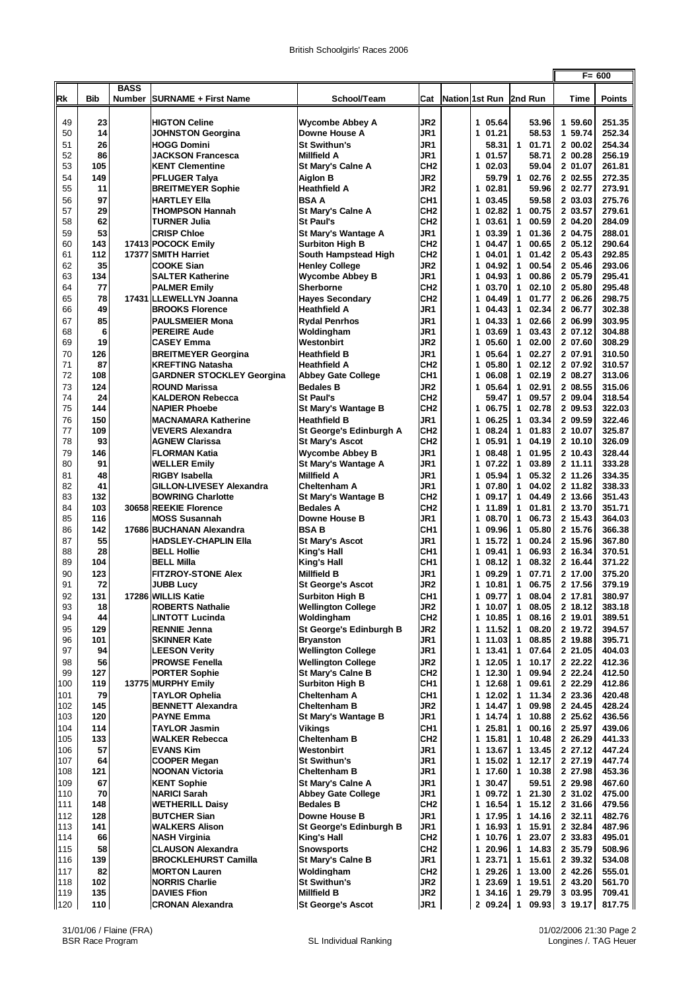|            |           |               |                                                             |                                                  |                                    |                                     |                                     |                    | $F = 600$        |
|------------|-----------|---------------|-------------------------------------------------------------|--------------------------------------------------|------------------------------------|-------------------------------------|-------------------------------------|--------------------|------------------|
|            |           | <b>BASS</b>   |                                                             |                                                  |                                    |                                     |                                     |                    |                  |
| Rk         | Bib       | <b>Number</b> | <b>SURNAME + First Name</b>                                 | School/Team                                      | Cat                                | Nation 1st Run                      | 2nd Run                             | Time               | <b>Points</b>    |
| 49         | 23        |               | <b>HIGTON Celine</b>                                        | <b>Wycombe Abbey A</b>                           | JR2                                | 1 05.64                             | 53.96                               | 1 59.60            | 251.35           |
| 50         | 14        |               | <b>JOHNSTON Georgina</b>                                    | Downe House A                                    | JR1                                | 01.21<br>$\mathbf{1}$               | 58.53                               | 1 59.74            | 252.34           |
| 51         | 26        |               | <b>HOGG Domini</b>                                          | <b>St Swithun's</b>                              | JR1                                | 58.31                               | $\mathbf{1}$<br>01.71               | 2 00.02            | 254.34           |
| 52         | 86        |               | <b>JACKSON Francesca</b>                                    | <b>Millfield A</b>                               | JR1                                | 01.57<br>1                          | 58.71                               | 2 00.28            | 256.19           |
| 53         | 105       |               | <b>KENT Clementine</b>                                      | <b>St Mary's Calne A</b>                         | CH <sub>2</sub>                    | 02.03<br>1                          | 59.04                               | 2 01.07            | 261.81           |
| 54         | 149       |               | <b>PFLUGER Talya</b>                                        | <b>Aiglon B</b>                                  | JR <sub>2</sub>                    | 59.79                               | $\mathbf{1}$<br>02.76               | 2 02.55            | 272.35           |
| 55<br>56   | 11<br>97  |               | <b>BREITMEYER Sophie</b><br>HARTLEY Ella                    | <b>Heathfield A</b><br><b>BSAA</b>               | JR2<br>CH <sub>1</sub>             | $\mathbf{1}$<br>02.81<br>03.45<br>1 | 59.96<br>59.58                      | 2 02.77<br>2 03.03 | 273.91<br>275.76 |
| 57         | 29        |               | <b>THOMPSON Hannah</b>                                      | <b>St Mary's Calne A</b>                         | CH <sub>2</sub>                    | 1<br>02.82                          | 00.75<br>$\mathbf{1}$               | 2 03.57            | 279.61           |
| 58         | 62        |               | <b>TURNER Julia</b>                                         | <b>St Paul's</b>                                 | CH <sub>2</sub>                    | 03.61<br>1                          | 00.59<br>$\mathbf{1}$               | 2 04.20            | 284.09           |
| 59         | 53        |               | <b>CRISP Chloe</b>                                          | St Mary's Wantage A                              | JR1                                | 1<br>03.39                          | 01.36<br>1                          | 2 04.75            | 288.01           |
| 60         | 143       |               | 17413 POCOCK Emily                                          | <b>Surbiton High B</b>                           | CH <sub>2</sub>                    | 1<br>04.47                          | 00.65<br>$\mathbf{1}$               | 2 05.12            | 290.64           |
| 61         | 112       |               | 17377 SMITH Harriet                                         | South Hampstead High                             | CH <sub>2</sub>                    | 04.01<br>1                          | 01.42<br>1                          | 2 05.43            | 292.85           |
| 62         | 35        |               | <b>COOKE Sian</b>                                           | <b>Henley College</b>                            | JR <sub>2</sub>                    | 1<br>04.92                          | 00.54<br>1                          | 2 05.46            | 293.06           |
| 63<br>64   | 134<br>77 |               | <b>SALTER Katherine</b><br><b>PALMER Emily</b>              | <b>Wycombe Abbey B</b><br><b>Sherborne</b>       | JR1<br>CH <sub>2</sub>             | 04.93<br>1<br>1<br>03.70            | 00.86<br>1<br>02.10<br>1            | 2 05.79<br>2 05.80 | 295.41<br>295.48 |
| 65         | 78        |               | 17431 ILLEWELLYN Joanna                                     | <b>Hayes Secondary</b>                           | CH <sub>2</sub>                    | 04.49<br>1                          | 01.77<br>1                          | 2 06.26            | 298.75           |
| 66         | 49        |               | <b>BROOKS Florence</b>                                      | <b>Heathfield A</b>                              | JR1                                | 1<br>04.43                          | 02.34<br>1                          | 2 06.77            | 302.38           |
| 67         | 85        |               | <b>PAULSMEIER Mona</b>                                      | <b>Rydal Penrhos</b>                             | JR1                                | 1<br>04.33                          | 1<br>02.66                          | 2 06.99            | 303.95           |
| 68         | 6         |               | <b>PEREIRE Aude</b>                                         | Woldingham                                       | JR1                                | 1<br>03.69                          | 03.43<br>1                          | 2 07.12            | 304.88           |
| 69         | 19        |               | CASEY Emma                                                  | Westonbirt                                       | JR2                                | 1<br>05.60                          | 1<br>02.00                          | 2 07.60            | 308.29           |
| 70<br>71   | 126<br>87 |               | <b>BREITMEYER Georgina</b>                                  | <b>Heathfield B</b>                              | JR1<br>CH <sub>2</sub>             | 1<br>05.64<br>1<br>05.80            | 02.27<br>1<br>02.12<br>$\mathbf{1}$ | 2 07.91<br>2 07.92 | 310.50<br>310.57 |
| 72         | 108       |               | <b>KREFTING Natasha</b><br><b>GARDNER STOCKLEY Georgina</b> | <b>Heathfield A</b><br><b>Abbey Gate College</b> | CH <sub>1</sub>                    | 06.08<br>1                          | 02.19<br>1                          | 2 08.27            | 313.06           |
| 73         | 124       |               | <b>ROUND Marissa</b>                                        | <b>Bedales B</b>                                 | JR <sub>2</sub>                    | 1<br>05.64                          | 02.91<br>1                          | 2 08.55            | 315.06           |
| 74         | 24        |               | <b>KALDERON Rebecca</b>                                     | <b>St Paul's</b>                                 | CH <sub>2</sub>                    | 59.47                               | 09.57<br>1                          | 2 09.04            | 318.54           |
| 75         | 144       |               | <b>NAPIER Phoebe</b>                                        | St Mary's Wantage B                              | CH <sub>2</sub>                    | 06.75<br>1                          | 02.78<br>$\mathbf{1}$               | 2 09.53            | 322.03           |
| 76         | 150       |               | <b>MACNAMARA Katherine</b>                                  | <b>Heathfield B</b>                              | JR1                                | 1<br>06.25                          | 03.34<br>1                          | 2 09.59            | 322.46           |
| 77         | 109       |               | <b>VEVERS Alexandra</b>                                     | St George's Edinburgh A                          | CH <sub>2</sub>                    | 08.24<br>1                          | 01.83<br>1                          | 2 10.07            | 325.87           |
| 78<br>79   | 93<br>146 |               | <b>AGNEW Clarissa</b><br><b>FLORMAN Katia</b>               | <b>St Mary's Ascot</b>                           | CH <sub>2</sub><br>JR1             | 1<br>05.91<br>1<br>08.48            | 1<br>04.19<br>01.95<br>1            | 2 10.10<br>2 10.43 | 326.09<br>328.44 |
| 80         | 91        |               | <b>WELLER Emily</b>                                         | <b>Wycombe Abbey B</b><br>St Mary's Wantage A    | JR1                                | 07.22<br>1                          | 03.89<br>1                          | 2 11.11            | 333.28           |
| 81         | 48        |               | RIGBY Isabella                                              | <b>Millfield A</b>                               | JR1                                | 05.94<br>1                          | 05.32<br>1                          | 2 11.26            | 334.35           |
| 82         | 41        |               | GILLON-LIVESEY Alexandra                                    | Cheltenham A                                     | JR1                                | 1<br>07.80                          | 1<br>04.02                          | 2 11.82            | 338.33           |
| 83         | 132       |               | <b>BOWRING Charlotte</b>                                    | St Mary's Wantage B                              | CH <sub>2</sub>                    | 1<br>09.17                          | 1<br>04.49                          | 2 13.66            | 351.43           |
| 84         | 103       |               | 30658 REEKIE Florence                                       | <b>Bedales A</b>                                 | CH <sub>2</sub>                    | 1<br>11.89                          | 01.81<br>1                          | 2 13.70            | 351.71           |
| 85         | 116       |               | <b>MOSS Susannah</b>                                        | Downe House B<br><b>BSAB</b>                     | JR1<br>CH <sub>1</sub>             | 1<br>08.70                          | 06.73<br>1                          | 2 15.43            | 364.03           |
| 86<br>87   | 142<br>55 |               | 17686 BUCHANAN Alexandra<br><b>HADSLEY-CHAPLIN EIIa</b>     | <b>St Mary's Ascot</b>                           | JR1                                | 09.96<br>1<br>15.72<br>$\mathbf{1}$ | 05.80<br>1<br>00.24<br>1            | 2 15.76<br>2 15.96 | 366.38<br>367.80 |
| 88         | 28        |               | <b>BELL Hollie</b>                                          | King's Hall                                      | CH <sub>1</sub>                    | 09.41<br>1                          | 06.93<br>1                          | 2 16.34            | 370.51           |
| 89         | 104       |               | BELL Milla                                                  | King's Hall                                      | CH <sub>1</sub>                    | 08.12<br>1                          | 08.32<br>1                          | 2 16.44            | 371.22           |
| 90         | 123       |               | <b>FITZROY-STONE Alex</b>                                   | <b>Millfield B</b>                               | JR1                                | 09.29<br>1                          | 1<br>07.71                          | 2 17.00            | 375.20           |
| 91         | 72        |               | <b>JUBB Lucy</b>                                            | <b>St George's Ascot</b>                         | JR <sub>2</sub>                    | 10.81<br>1                          | 06.75<br>1                          | 2 17.56            | 379.19           |
| 92         | 131       |               | 17286 WILLIS Katie                                          | <b>Surbiton High B</b>                           | CH <sub>1</sub>                    | 1<br>09.77                          | 08.04<br>1                          | 2 17.81            | 380.97           |
| 93<br>94   | 18<br>44  |               | <b>ROBERTS Nathalie</b><br><b>LINTOTT Lucinda</b>           | <b>Wellington College</b><br>Woldingham          | JR <sub>2</sub><br>CH <sub>2</sub> | 1<br>10.07<br>1 10.85               | 08.05<br>1<br>1<br>08.16            | 2 18.12<br>2 19.01 | 383.18<br>389.51 |
| 95         | 129       |               | <b>RENNIE Jenna</b>                                         | St George's Edinburgh B                          | JR <sub>2</sub>                    | 1<br>11.52                          | 08.20<br>1                          | 2 19.72            | 394.57           |
| 96         | 101       |               | <b>SKINNER Kate</b>                                         | <b>Brvanston</b>                                 | JR1                                | $\mathbf{1}$<br>11.03               | 08.85<br>1                          | 2 19.88            | 395.71           |
| 97         | 94        |               | <b>LEESON Verity</b>                                        | <b>Wellington College</b>                        | JR1                                | 13.41<br>1                          | 07.64<br>1                          | 2 21.05            | 404.03           |
| 98         | 56        |               | <b>PROWSE Fenella</b>                                       | <b>Wellington College</b>                        | JR <sub>2</sub>                    | 12.05<br>$\mathbf{1}$               | 10.17<br>1                          | 2 22.22            | 412.36           |
| 99         | 127       |               | <b>PORTER Sophie</b>                                        | <b>St Mary's Calne B</b>                         | CH <sub>2</sub>                    | 1<br>12.30                          | 09.94<br>1                          | 2 22.24            | 412.50           |
| 100        | 119       |               | 13775 MURPHY Emily                                          | <b>Surbiton High B</b>                           | CH <sub>1</sub>                    | 12.68<br>1                          | 09.61<br>1                          | 2 22.29<br>2 23.36 | 412.86           |
| 101<br>102 | 79<br>145 |               | <b>TAYLOR Ophelia</b><br><b>BENNETT Alexandra</b>           | Cheltenham A<br><b>Cheltenham B</b>              | CH <sub>1</sub><br>JR <sub>2</sub> | $\mathbf{1}$<br>12.02<br>14.47<br>1 | 11.34<br>1<br>09.98<br>1            | 2 24.45            | 420.48<br>428.24 |
| 103        | 120       |               | <b>PAYNE Emma</b>                                           | St Mary's Wantage B                              | JR1                                | 1 14.74                             | 10.88<br>1                          | 2 25.62            | 436.56           |
| 104        | 114       |               | <b>TAYLOR Jasmin</b>                                        | <b>Vikings</b>                                   | CH <sub>1</sub>                    | 1<br>25.81                          | 00.16<br>1                          | 2 25.97            | 439.06           |
| 105        | 133       |               | <b>WALKER Rebecca</b>                                       | <b>Cheltenham B</b>                              | CH <sub>2</sub>                    | 1 15.81                             | 10.48<br>1                          | 2 26.29            | 441.33           |
| 106        | 57        |               | <b>EVANS Kim</b>                                            | Westonbirt                                       | JR1                                | 1<br>13.67                          | 13.45<br>1                          | 2 27.12            | 447.24           |
| 107        | 64        |               | COOPER Megan                                                | <b>St Swithun's</b>                              | JR1                                | 1<br>15.02                          | 12.17<br>1                          | 2 27.19            | 447.74           |
| 108<br>109 | 121<br>67 |               | <b>NOONAN Victoria</b><br><b>KENT Sophie</b>                | <b>Cheltenham B</b><br><b>St Mary's Calne A</b>  | JR1<br>JR1                         | 17.60<br>1<br>1<br>30.47            | 1 10.38<br>59.51                    | 2 27.98<br>2 29.98 | 453.36<br>467.60 |
| 110        | 70        |               | <b>NARICI Sarah</b>                                         | <b>Abbey Gate College</b>                        | JR1                                | 1<br>09.72                          | 21.30<br>$\mathbf{1}$               | 2 31.02            | 475.00           |
| 111        | 148       |               | <b>WETHERILL Daisy</b>                                      | <b>Bedales B</b>                                 | CH <sub>2</sub>                    | 1<br>16.54                          | 1<br>15.12                          | 2 31.66            | 479.56           |
| 112        | 128       |               | <b>BUTCHER Sian</b>                                         | Downe House B                                    | JR1                                | $\mathbf{1}$<br>17.95               | 14.16<br>1                          | 2 32.11            | 482.76           |
| 113        | 141       |               | <b>WALKERS Alison</b>                                       | St George's Edinburgh B                          | JR1                                | 16.93<br>1                          | 15.91<br>1                          | 2 32.84            | 487.96           |
| 114        | 66        |               | NASH Virginia                                               | King's Hall                                      | CH <sub>2</sub>                    | 1<br>10.76                          | 23.07<br>1                          | 2 33.83            | 495.01           |
| 115<br>116 | 58<br>139 |               | <b>CLAUSON Alexandra</b><br><b>BROCKLEHURST Camilla</b>     | <b>Snowsports</b>                                | CH <sub>2</sub><br>JR1             | 1<br>20.96<br>23.71<br>1            | 14.83<br>1<br>15.61<br>1            | 2 35.79<br>2 39.32 | 508.96<br>534.08 |
| 117        | 82        |               | <b>MORTON Lauren</b>                                        | <b>St Mary's Calne B</b><br>Woldingham           | CH <sub>2</sub>                    | 29.26<br>1                          | 13.00<br>1                          | 2 42.26            | 555.01           |
| 118        | 102       |               | <b>NORRIS Charlie</b>                                       | <b>St Swithun's</b>                              | JR <sub>2</sub>                    | 1<br>23.69                          | 1<br>19.51                          | 2<br>43.20         | 561.70           |
| 119        | 135       |               | <b>DAVIES Ffion</b>                                         | <b>Millfield B</b>                               | JR2                                | 1<br>34.16                          | 1<br>29.79                          | 3 03.95            | 709.41           |
| 120        | 110       |               | <b>CRONAN Alexandra</b>                                     | <b>St George's Ascot</b>                         | JR1                                | 2 09.24                             | 09.93<br>1                          | 3 19.17            | 817.75           |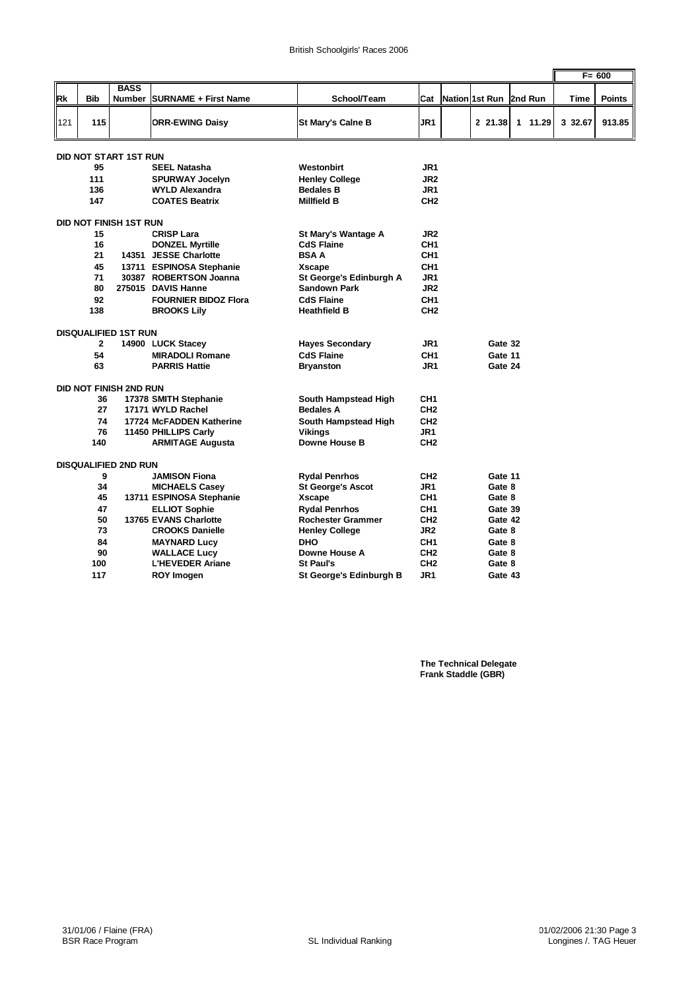|     |                        |                               |                              |                            |                 |                       |  |         |  |         |  |         | $F = 600$     |
|-----|------------------------|-------------------------------|------------------------------|----------------------------|-----------------|-----------------------|--|---------|--|---------|--|---------|---------------|
|     |                        | <b>BASS</b>                   |                              |                            |                 |                       |  |         |  |         |  |         |               |
| Rk  | <b>Bib</b>             | Number                        | <b>SURNAME + First Name</b>  | School/Team                | Cat             | <b>Nation 1st Run</b> |  |         |  | 2nd Run |  | Time    | <b>Points</b> |
|     |                        |                               |                              |                            |                 |                       |  |         |  |         |  |         |               |
| 121 | 115                    |                               | <b>ORR-EWING Daisy</b>       | <b>St Mary's Calne B</b>   | JR <sub>1</sub> |                       |  | 2 21.38 |  | 1 11.29 |  | 3 32.67 | 913.85        |
|     |                        | <b>DID NOT START 1ST RUN</b>  |                              |                            |                 |                       |  |         |  |         |  |         |               |
|     | 95                     |                               | <b>SEEL Natasha</b>          | Westonbirt                 | JR1             |                       |  |         |  |         |  |         |               |
|     | 111                    |                               | <b>SPURWAY Jocelyn</b>       | <b>Henley College</b>      | JR <sub>2</sub> |                       |  |         |  |         |  |         |               |
|     | 136                    |                               | <b>WYLD Alexandra</b>        | <b>Bedales B</b>           | JR <sub>1</sub> |                       |  |         |  |         |  |         |               |
|     | 147                    |                               | <b>COATES Beatrix</b>        | Millfield B                | CH <sub>2</sub> |                       |  |         |  |         |  |         |               |
|     |                        |                               |                              |                            |                 |                       |  |         |  |         |  |         |               |
|     | DID NOT FINISH 1ST RUN |                               |                              |                            |                 |                       |  |         |  |         |  |         |               |
|     | 15                     |                               | <b>CRISP Lara</b>            | <b>St Marv's Wantage A</b> | JR <sub>2</sub> |                       |  |         |  |         |  |         |               |
|     | 16                     |                               | <b>DONZEL Myrtille</b>       | <b>CdS Flaine</b>          | CH <sub>1</sub> |                       |  |         |  |         |  |         |               |
|     | 21                     |                               | 14351 JESSE Charlotte        | <b>BSAA</b>                | CH <sub>1</sub> |                       |  |         |  |         |  |         |               |
|     | 45                     | 13711                         | <b>ESPINOSA Stephanie</b>    | <b>Xscape</b>              | CH <sub>1</sub> |                       |  |         |  |         |  |         |               |
|     | 71                     |                               | 30387 ROBERTSON Joanna       | St George's Edinburgh A    | JR1             |                       |  |         |  |         |  |         |               |
|     | 80                     |                               | 275015 DAVIS Hanne           | <b>Sandown Park</b>        | JR <sub>2</sub> |                       |  |         |  |         |  |         |               |
|     | 92                     |                               | <b>FOURNIER BIDOZ Flora</b>  | <b>CdS Flaine</b>          | CH <sub>1</sub> |                       |  |         |  |         |  |         |               |
|     | 138                    |                               | <b>BROOKS Lily</b>           | Heathfield B               | CH <sub>2</sub> |                       |  |         |  |         |  |         |               |
|     |                        | <b>DISQUALIFIED 1ST RUN</b>   |                              |                            |                 |                       |  |         |  |         |  |         |               |
|     | $\mathbf{2}$           |                               | 14900 LUCK Stacey            | <b>Hayes Secondary</b>     | JR1             |                       |  | Gate 32 |  |         |  |         |               |
|     | 54                     |                               | <b>MIRADOLI Romane</b>       | <b>CdS Flaine</b>          | CH <sub>1</sub> |                       |  | Gate 11 |  |         |  |         |               |
|     | 63                     |                               | <b>PARRIS Hattie</b>         | Bryanston                  | JR1             |                       |  | Gate 24 |  |         |  |         |               |
|     |                        | <b>DID NOT FINISH 2ND RUN</b> |                              |                            |                 |                       |  |         |  |         |  |         |               |
|     | 36                     |                               | 17378 SMITH Stephanie        | South Hampstead High       | CH <sub>1</sub> |                       |  |         |  |         |  |         |               |
|     | 27                     |                               | 17171 WYLD Rachel            | <b>Bedales A</b>           | CH <sub>2</sub> |                       |  |         |  |         |  |         |               |
|     | 74                     |                               | 17724 McFADDEN Katherine     | South Hampstead High       | CH <sub>2</sub> |                       |  |         |  |         |  |         |               |
|     | 76                     |                               | 11450 PHILLIPS Carly         | Vikinas                    | JR1             |                       |  |         |  |         |  |         |               |
|     | 140                    |                               | <b>ARMITAGE Augusta</b>      | <b>Downe House B</b>       | CH <sub>2</sub> |                       |  |         |  |         |  |         |               |
|     |                        | <b>DISQUALIFIED 2ND RUN</b>   |                              |                            |                 |                       |  |         |  |         |  |         |               |
|     | 9                      |                               | <b>JAMISON Fiona</b>         | <b>Rydal Penrhos</b>       | CH <sub>2</sub> |                       |  | Gate 11 |  |         |  |         |               |
|     | 34                     |                               | <b>MICHAELS Casey</b>        | <b>St George's Ascot</b>   | JR <sub>1</sub> |                       |  | Gate 8  |  |         |  |         |               |
|     | 45                     |                               | 13711 ESPINOSA Stephanie     | Xscape                     | CH <sub>1</sub> |                       |  | Gate 8  |  |         |  |         |               |
|     | 47                     |                               | <b>ELLIOT Sophie</b>         | <b>Rvdal Penrhos</b>       | CH <sub>1</sub> |                       |  | Gate 39 |  |         |  |         |               |
|     | 50                     |                               | <b>13765 EVANS Charlotte</b> | <b>Rochester Grammer</b>   | CH <sub>2</sub> |                       |  | Gate 42 |  |         |  |         |               |
|     | 73                     |                               | <b>CROOKS Danielle</b>       | <b>Henley College</b>      | JR <sub>2</sub> |                       |  | Gate 8  |  |         |  |         |               |
|     | 84                     |                               | <b>MAYNARD Lucy</b>          | <b>DHO</b>                 | CH <sub>1</sub> |                       |  | Gate 8  |  |         |  |         |               |
|     | 90                     |                               | <b>WALLACE Lucy</b>          | Downe House A              | CH <sub>2</sub> |                       |  | Gate 8  |  |         |  |         |               |
|     | 100                    |                               | <b>L'HEVEDER Ariane</b>      | <b>St Paul's</b>           | CH <sub>2</sub> |                       |  | Gate 8  |  |         |  |         |               |
|     | 117                    |                               | <b>ROY Imogen</b>            | St George's Edinburgh B    | JR1             |                       |  | Gate 43 |  |         |  |         |               |

**The Technical Delegate Frank Staddle (GBR)**

r.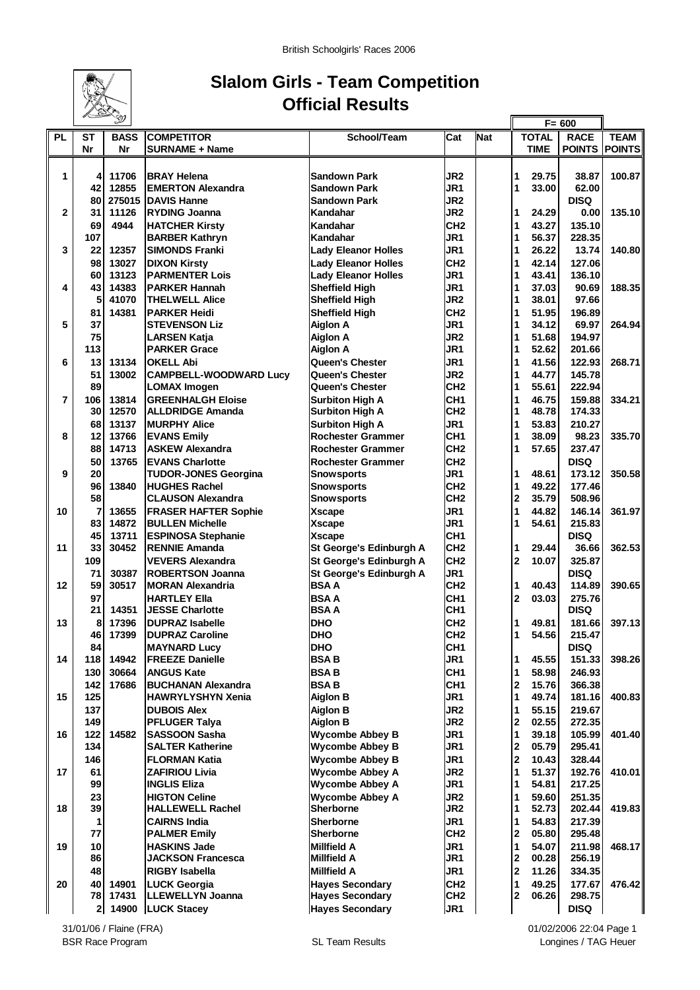

### **Slalom Girls - Team Competition Official Results**

r.

|                |                | ৺           |                               |                            |                 |            |                |              | $F = 600$            |             |
|----------------|----------------|-------------|-------------------------------|----------------------------|-----------------|------------|----------------|--------------|----------------------|-------------|
| <b>PL</b>      | <b>ST</b>      | <b>BASS</b> | <b>COMPETITOR</b>             | School/Team                | Cat             | <b>Nat</b> |                | <b>TOTAL</b> | <b>RACE</b>          | <b>TEAM</b> |
|                | Nr             | Nr          | <b>SURNAME + Name</b>         |                            |                 |            |                | <b>TIME</b>  | <b>POINTS POINTS</b> |             |
|                |                |             |                               |                            |                 |            |                |              |                      |             |
|                |                |             |                               |                            |                 |            |                |              |                      |             |
| 1              | 4              | 11706       | <b>BRAY Helena</b>            | <b>Sandown Park</b>        | JR <sub>2</sub> |            | 1              | 29.75        | 38.87                | 100.87      |
|                | 42             | 12855       | <b>EMERTON Alexandra</b>      | <b>Sandown Park</b>        | JR1             |            | 1              | 33.00        | 62.00                |             |
|                | 80             | 275015      | <b>DAVIS Hanne</b>            | <b>Sandown Park</b>        | JR <sub>2</sub> |            |                |              | <b>DISQ</b>          |             |
| $\overline{2}$ | 31             | 11126       | <b>RYDING Joanna</b>          | Kandahar                   | JR2             |            | 1              | 24.29        | 0.00                 | 135.10      |
|                | 69             | 4944        | <b>HATCHER Kirsty</b>         | Kandahar                   | CH <sub>2</sub> |            | 1              | 43.27        | 135.10               |             |
|                | 107            |             | <b>BARBER Kathryn</b>         | Kandahar                   | JR1             |            | 1              | 56.37        | 228.35               |             |
| 3              | 22             | 12357       | <b>SIMONDS Franki</b>         | <b>Lady Eleanor Holles</b> | JR1             |            | 1              | 26.22        | 13.74                | 140.80      |
|                | 98             | 13027       |                               | <b>Lady Eleanor Holles</b> | CH <sub>2</sub> |            | 1              | 42.14        | 127.06               |             |
|                | 60             |             | <b>DIXON Kirsty</b>           |                            | JR1             |            |                | 43.41        |                      |             |
|                |                | 13123       | <b>PARMENTER Lois</b>         | <b>Lady Eleanor Holles</b> |                 |            | 1              |              | 136.10               |             |
| 4              | 43             | 14383       | <b>PARKER Hannah</b>          | <b>Sheffield High</b>      | JR1             |            | 1              | 37.03        | 90.69                | 188.35      |
|                | 5              | 41070       | <b>THELWELL Alice</b>         | <b>Sheffield High</b>      | JR2             |            | 1              | 38.01        | 97.66                |             |
|                | 81             | 14381       | <b>PARKER Heidi</b>           | <b>Sheffield High</b>      | CH <sub>2</sub> |            | 1              | 51.95        | 196.89               |             |
| 5              | 37             |             | <b>STEVENSON Liz</b>          | <b>Aiglon A</b>            | JR1             |            | 1              | 34.12        | 69.97                | 264.94      |
|                | 75             |             | <b>LARSEN Katja</b>           | <b>Aiglon A</b>            | JR <sub>2</sub> |            | 1              | 51.68        | 194.97               |             |
|                | 113            |             | <b>PARKER Grace</b>           | <b>Aiglon A</b>            | JR1             |            | 1              | 52.62        | 201.66               |             |
| 6              | 13             | 13134       | <b>OKELL Abi</b>              | Queen's Chester            | JR1             |            | 1              | 41.56        | 122.93               | 268.71      |
|                |                |             |                               |                            |                 |            |                |              |                      |             |
|                | 51             | 13002       | <b>CAMPBELL-WOODWARD Lucy</b> | Queen's Chester            | JR <sub>2</sub> |            | 1              | 44.77        | 145.78               |             |
|                | 89             |             | <b>LOMAX Imogen</b>           | <b>Queen's Chester</b>     | CH <sub>2</sub> |            | 1              | 55.61        | 222.94               |             |
| $\overline{7}$ | 106            | 13814       | <b>GREENHALGH Eloise</b>      | <b>Surbiton High A</b>     | CH <sub>1</sub> |            | 1              | 46.75        | 159.88               | 334.21      |
|                | 30             | 12570       | <b>ALLDRIDGE Amanda</b>       | <b>Surbiton High A</b>     | CH <sub>2</sub> |            | 1              | 48.78        | 174.33               |             |
|                | 68             | 13137       | <b>MURPHY Alice</b>           | <b>Surbiton High A</b>     | JR1             |            | 1              | 53.83        | 210.27               |             |
| 8              | 12             | 13766       | <b>EVANS Emily</b>            | <b>Rochester Grammer</b>   | CH <sub>1</sub> |            | 1              | 38.09        | 98.23                | 335.70      |
|                | 88             | 14713       | <b>ASKEW Alexandra</b>        | <b>Rochester Grammer</b>   | CH <sub>2</sub> |            | 1              | 57.65        | 237.47               |             |
|                | 50             | 13765       | <b>EVANS Charlotte</b>        | <b>Rochester Grammer</b>   | CH <sub>2</sub> |            |                |              | <b>DISQ</b>          |             |
|                |                |             |                               |                            |                 |            |                |              |                      |             |
| 9              | 20             |             | <b>TUDOR-JONES Georgina</b>   | <b>Snowsports</b>          | JR1             |            | 1              | 48.61        | 173.12               | 350.58      |
|                | 96             | 13840       | <b>HUGHES Rachel</b>          | <b>Snowsports</b>          | CH <sub>2</sub> |            | 1              | 49.22        | 177.46               |             |
|                | 58             |             | <b>CLAUSON Alexandra</b>      | <b>Snowsports</b>          | CH <sub>2</sub> |            | $\mathbf 2$    | 35.79        | 508.96               |             |
| 10             | 7              | 13655       | <b>FRASER HAFTER Sophie</b>   | <b>Xscape</b>              | JR1             |            | 1              | 44.82        | 146.14               | 361.97      |
|                | 83             | 14872       | <b>BULLEN Michelle</b>        | <b>Xscape</b>              | JR1             |            | 1              | 54.61        | 215.83               |             |
|                | 45             | 13711       | <b>ESPINOSA Stephanie</b>     | <b>Xscape</b>              | CH <sub>1</sub> |            |                |              | <b>DISQ</b>          |             |
| 11             | 33             | 30452       | <b>RENNIE Amanda</b>          | St George's Edinburgh A    | CH <sub>2</sub> |            | 1              | 29.44        | 36.66                | 362.53      |
|                | 109            |             | <b>VEVERS Alexandra</b>       | St George's Edinburgh A    | CH <sub>2</sub> |            | $\overline{2}$ | 10.07        | 325.87               |             |
|                |                |             |                               |                            |                 |            |                |              |                      |             |
|                | 71             | 30387       | <b>ROBERTSON Joanna</b>       | St George's Edinburgh A    | JR1             |            |                |              | <b>DISQ</b>          |             |
| 12             | 59             | 30517       | <b>MORAN Alexandria</b>       | <b>BSAA</b>                | CH <sub>2</sub> |            | 1              | 40.43        | 114.89               | 390.65      |
|                | 97             |             | <b>HARTLEY Ella</b>           | <b>BSAA</b>                | CH <sub>1</sub> |            | $\mathbf 2$    | 03.03        | 275.76               |             |
|                | 21             | 14351       | <b>JESSE Charlotte</b>        | <b>BSAA</b>                | CH <sub>1</sub> |            |                |              | <b>DISQ</b>          |             |
| 13             | 8              | 17396       | <b>DUPRAZ Isabelle</b>        | <b>DHO</b>                 | CH <sub>2</sub> |            | 1              | 49.81        | 181.66               | 397.13      |
|                | 46             | 17399       | <b>DUPRAZ Caroline</b>        | <b>DHO</b>                 | CH <sub>2</sub> |            | 1              | 54.56        | 215.47               |             |
|                | 84             |             | <b>MAYNARD Lucy</b>           | <b>DHO</b>                 | CH <sub>1</sub> |            |                |              | <b>DISQ</b>          |             |
| 14             | 118            | 14942       | <b>FREEZE Danielle</b>        | <b>BSAB</b>                | JR1             |            | 1              | 45.55        | 151.33               | 398.26      |
|                |                |             |                               |                            |                 |            |                |              |                      |             |
|                | 130            | 30664       | <b>ANGUS Kate</b>             | <b>BSAB</b>                | CH <sub>1</sub> |            | 1              | 58.98        | 246.93               |             |
|                | 142            | 17686       | <b>BUCHANAN Alexandra</b>     | <b>BSAB</b>                | CH <sub>1</sub> |            | $\mathbf{2}$   | 15.76        | 366.38               |             |
| 15             | 125            |             | <b>HAWRYLYSHYN Xenia</b>      | Aiglon B                   | JR1             |            | 1              | 49.74        | 181.16               | 400.83      |
|                | 137            |             | <b>DUBOIS Alex</b>            | <b>Aiglon B</b>            | JR2             |            | 1              | 55.15        | 219.67               |             |
|                | 149            |             | <b>PFLUGER Talya</b>          | Aiglon B                   | JR <sub>2</sub> |            | 2              | 02.55        | 272.35               |             |
| 16             | 122            | 14582       | <b>SASSOON Sasha</b>          | <b>Wycombe Abbey B</b>     | JR1             |            | 1              | 39.18        | 105.99               | 401.40      |
|                | 134            |             | <b>SALTER Katherine</b>       | <b>Wycombe Abbey B</b>     | JR1             |            | $\mathbf 2$    | 05.79        | 295.41               |             |
|                |                |             |                               |                            |                 |            |                |              |                      |             |
|                | 146            |             | <b>FLORMAN Katia</b>          | <b>Wycombe Abbey B</b>     | JR1             |            | $\mathbf 2$    | 10.43        | 328.44               |             |
| 17             | 61             |             | <b>ZAFIRIOU Livia</b>         | <b>Wycombe Abbey A</b>     | JR2             |            | 1              | 51.37        | 192.76               | 410.01      |
|                | 99             |             | INGLIS Eliza                  | <b>Wycombe Abbey A</b>     | JR1             |            | 1              | 54.81        | 217.25               |             |
|                | 23             |             | <b>HIGTON Celine</b>          | <b>Wycombe Abbey A</b>     | JR2             |            | 1              | 59.60        | 251.35               |             |
| 18             | 39             |             | <b>HALLEWELL Rachel</b>       | <b>Sherborne</b>           | JR2             |            | 1              | 52.73        | 202.44               | 419.83      |
|                | 1              |             | <b>CAIRNS India</b>           | Sherborne                  | JR1             |            | 1              | 54.83        | 217.39               |             |
|                | 77             |             | <b>PALMER Emily</b>           | <b>Sherborne</b>           | CH <sub>2</sub> |            | $\mathbf 2$    | 05.80        | 295.48               |             |
|                |                |             |                               |                            |                 |            | 1              |              |                      |             |
| 19             | 10             |             | <b>HASKINS Jade</b>           | <b>Millfield A</b>         | JR1             |            |                | 54.07        | 211.98               | 468.17      |
|                | 86             |             | <b>JACKSON Francesca</b>      | Millfield A                | JR1             |            | $\mathbf{2}$   | 00.28        | 256.19               |             |
|                | 48             |             | <b>RIGBY Isabella</b>         | <b>Millfield A</b>         | JR1             |            | $\mathbf 2$    | 11.26        | 334.35               |             |
| 20             | 40             | 14901       | <b>LUCK Georgia</b>           | <b>Hayes Secondary</b>     | CH <sub>2</sub> |            | 1              | 49.25        | 177.67               | 476.42      |
|                | 78             | 17431       | LLEWELLYN Joanna              | <b>Hayes Secondary</b>     | CH <sub>2</sub> |            | $\mathbf{2}$   | 06.26        | 298.75               |             |
|                | 2 <sub>1</sub> |             | 14900   LUCK Stacey           | <b>Hayes Secondary</b>     | JR1             |            |                |              | <b>DISQ</b>          |             |
|                |                |             |                               |                            |                 |            |                |              |                      |             |

01/02/2006 22:04 Page 1 Longines / TAG Heuer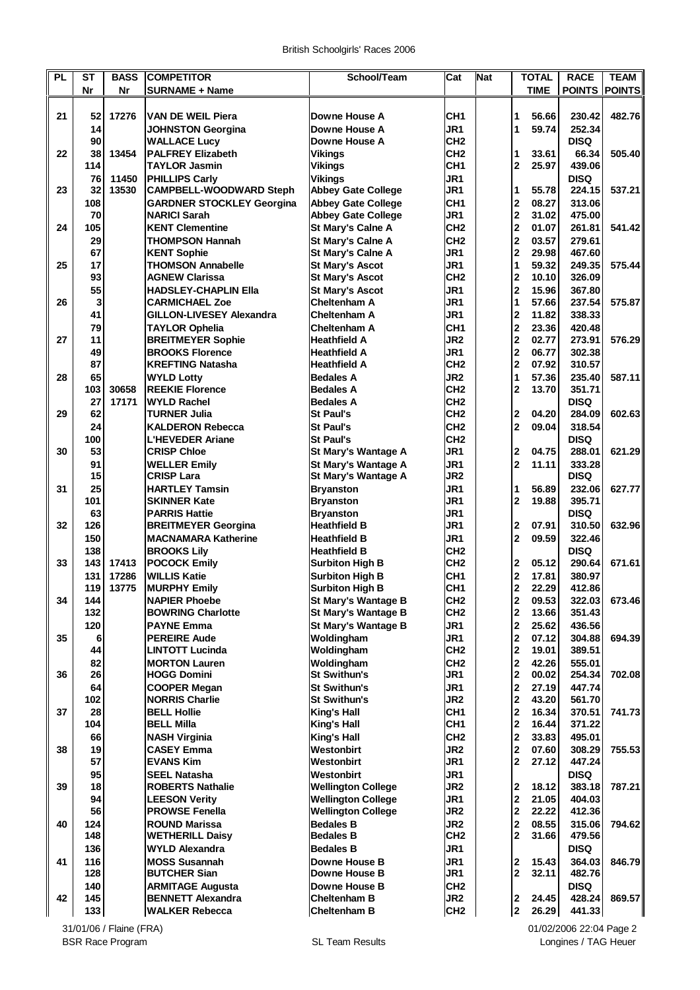| <b>PL</b> | <b>ST</b>  | <b>BASS</b> | <b>COMPETITOR</b>                             | School/Team                          | Cat                                | <b>Nat</b> |                                         | <b>TOTAL</b>   | <b>RACE</b>           | <b>TEAM</b> |
|-----------|------------|-------------|-----------------------------------------------|--------------------------------------|------------------------------------|------------|-----------------------------------------|----------------|-----------------------|-------------|
|           | Nr         | <b>Nr</b>   | <b>SURNAME + Name</b>                         |                                      |                                    |            |                                         | TIME           | <b>POINTS POINTS</b>  |             |
|           |            |             |                                               |                                      |                                    |            |                                         |                |                       |             |
| 21        | 52         | 17276       | <b>VAN DE WEIL Piera</b>                      | Downe House A                        | CH <sub>1</sub>                    |            | 1                                       | 56.66          | 230.42                | 482.76      |
|           | 14         |             | <b>JOHNSTON Georgina</b>                      | Downe House A                        | JR1                                |            | 1                                       | 59.74          | 252.34                |             |
|           | 90         |             | <b>WALLACE Lucy</b>                           | Downe House A                        | CH <sub>2</sub>                    |            |                                         |                | <b>DISQ</b>           |             |
| 22        | 38<br>114  | 13454       | <b>PALFREY Elizabeth</b>                      | <b>Vikings</b>                       | CH <sub>2</sub><br>CH <sub>1</sub> |            | 1<br>$\overline{2}$                     | 33.61<br>25.97 | 66.34                 | 505.40      |
|           | 76         | 11450       | <b>TAYLOR Jasmin</b><br><b>PHILLIPS Carly</b> | <b>Vikings</b><br><b>Vikings</b>     | JR1                                |            |                                         |                | 439.06<br><b>DISQ</b> |             |
| 23        | 32         | 13530       | <b>CAMPBELL-WOODWARD Steph</b>                | <b>Abbey Gate College</b>            | JR1                                |            | 1                                       | 55.78          | 224.15                | 537.21      |
|           | 108        |             | <b>GARDNER STOCKLEY Georgina</b>              | <b>Abbey Gate College</b>            | CH <sub>1</sub>                    |            | $\mathbf{2}$                            | 08.27          | 313.06                |             |
|           | 70         |             | <b>NARICI Sarah</b>                           | <b>Abbey Gate College</b>            | JR1                                |            | $\overline{2}$                          | 31.02          | 475.00                |             |
| 24        | 105        |             | <b>KENT Clementine</b>                        | St Mary's Calne A                    | CH <sub>2</sub>                    |            | $\mathbf{2}$                            | 01.07          | 261.81                | 541.42      |
|           | 29         |             | <b>THOMPSON Hannah</b>                        | St Mary's Calne A                    | CH <sub>2</sub>                    |            | $\overline{\mathbf{2}}$                 | 03.57          | 279.61                |             |
|           | 67         |             | <b>KENT Sophie</b>                            | St Mary's Calne A                    | JR1                                |            | $\mathbf{2}$                            | 29.98          | 467.60                |             |
| 25        | 17         |             | <b>THOMSON Annabelle</b>                      | <b>St Mary's Ascot</b>               | JR1                                |            | 1                                       | 59.32          | 249.35                | 575.44      |
|           | 93         |             | <b>AGNEW Clarissa</b>                         | <b>St Mary's Ascot</b>               | CH <sub>2</sub>                    |            | $\mathbf 2$                             | 10.10          | 326.09                |             |
|           | 55         |             | <b>HADSLEY-CHAPLIN Ella</b>                   | <b>St Mary's Ascot</b>               | JR1                                |            | $\overline{2}$                          | 15.96          | 367.80                |             |
| 26        | 3          |             | <b>CARMICHAEL Zoe</b>                         | Cheltenham A                         | JR1                                |            | 1                                       | 57.66          | 237.54                | 575.87      |
|           | 41         |             | <b>GILLON-LIVESEY Alexandra</b>               | Cheltenham A                         | JR1                                |            | $\mathbf 2$                             | 11.82          | 338.33                |             |
|           | 79         |             | <b>TAYLOR Ophelia</b>                         | Cheltenham A                         | CH <sub>1</sub>                    |            | $\overline{2}$                          | 23.36          | 420.48                |             |
| 27        | 11         |             | <b>BREITMEYER Sophie</b>                      | <b>Heathfield A</b>                  | JR <sub>2</sub>                    |            | $\overline{2}$                          | 02.77          | 273.91                | 576.29      |
|           | 49         |             | <b>BROOKS Florence</b>                        | <b>Heathfield A</b>                  | JR1                                |            | $\overline{\mathbf{2}}$                 | 06.77          | 302.38                |             |
|           | 87         |             | <b>KREFTING Natasha</b>                       | <b>Heathfield A</b>                  | CH <sub>2</sub>                    |            | $\mathbf{2}$                            | 07.92          | 310.57                |             |
| 28        | 65         |             | <b>WYLD Lotty</b>                             | <b>Bedales A</b>                     | JR <sub>2</sub>                    |            | 1                                       | 57.36          | 235.40                | 587.11      |
|           | 103        | 30658       | <b>REEKIE Florence</b>                        | <b>Bedales A</b>                     | CH <sub>2</sub>                    |            | $\overline{2}$                          | 13.70          | 351.71                |             |
| 29        | 27<br>62   | 17171       | <b>WYLD Rachel</b>                            | <b>Bedales A</b><br><b>St Paul's</b> | CH <sub>2</sub><br>CH <sub>2</sub> |            |                                         | 04.20          | <b>DISQ</b><br>284.09 | 602.63      |
|           | 24         |             | TURNER Julia<br><b>KALDERON Rebecca</b>       | <b>St Paul's</b>                     | CH <sub>2</sub>                    |            | $\mathbf{2}$<br>$\overline{2}$          | 09.04          | 318.54                |             |
|           | 100        |             | <b>L'HEVEDER Ariane</b>                       | <b>St Paul's</b>                     | CH <sub>2</sub>                    |            |                                         |                | <b>DISQ</b>           |             |
| 30        | 53         |             | <b>CRISP Chloe</b>                            | St Mary's Wantage A                  | JR1                                |            | $\overline{2}$                          | 04.75          | 288.01                | 621.29      |
|           | 91         |             | <b>WELLER Emily</b>                           | St Mary's Wantage A                  | JR1                                |            | $\mathbf{2}$                            | 11.11          | 333.28                |             |
|           | 15         |             | <b>CRISP Lara</b>                             | St Mary's Wantage A                  | JR <sub>2</sub>                    |            |                                         |                | <b>DISQ</b>           |             |
| 31        | 25         |             | <b>HARTLEY Tamsin</b>                         | <b>Bryanston</b>                     | JR1                                |            | 1                                       | 56.89          | 232.06                | 627.77      |
|           | 101        |             | <b>SKINNER Kate</b>                           | <b>Bryanston</b>                     | JR1                                |            | $\overline{2}$                          | 19.88          | 395.71                |             |
|           | 63         |             | <b>PARRIS Hattie</b>                          | <b>Bryanston</b>                     | JR <sub>1</sub>                    |            |                                         |                | <b>DISQ</b>           |             |
| 32        | 126        |             | <b>BREITMEYER Georgina</b>                    | <b>Heathfield B</b>                  | JR1                                |            | $\mathbf{2}$                            | 07.91          | 310.50                | 632.96      |
|           | 150        |             | <b>MACNAMARA Katherine</b>                    | <b>Heathfield B</b>                  | JR1                                |            | $\overline{2}$                          | 09.59          | 322.46                |             |
|           | 138        |             | <b>BROOKS Lily</b>                            | <b>Heathfield B</b>                  | CH <sub>2</sub>                    |            |                                         |                | <b>DISQ</b>           |             |
| 33        | 143        | 17413       | <b>POCOCK Emily</b>                           | <b>Surbiton High B</b>               | CH <sub>2</sub>                    |            | $\mathbf{2}$                            | 05.12          | 290.64                | 671.61      |
|           | 131        | 17286       | <b>WILLIS Katie</b>                           | <b>Surbiton High B</b>               | CH <sub>1</sub>                    |            | $\mathbf{2}$                            | 17.81          | 380.97                |             |
|           | 119        | 13775       | <b>MURPHY Emily</b>                           | <b>Surbiton High B</b>               | CH <sub>1</sub>                    |            | $\mathbf 2$                             | 22.29          | 412.86                |             |
| 34        | 144        |             | <b>NAPIER Phoebe</b>                          | St Mary's Wantage B                  | CH <sub>2</sub>                    |            | $\overline{\mathbf{2}}$                 | 09.53          | 322.03                | 673.46      |
|           | 132        |             | <b>BOWRING Charlotte</b>                      | <b>St Mary's Wantage B</b>           | CH <sub>2</sub>                    |            | $\overline{\mathbf{2}}$                 | 13.66          | 351.43                |             |
|           | 120        |             | <b>PAYNE Emma</b>                             | <b>St Mary's Wantage B</b>           | JR1                                |            | $\mathbf{2}$                            | 25.62          | 436.56                |             |
| 35        | 6<br>44    |             | <b>PEREIRE Aude</b><br><b>LINTOTT Lucinda</b> | Woldingham                           | JR1<br>CH <sub>2</sub>             |            | $\mathbf{2}$<br>$\overline{\mathbf{2}}$ | 07.12<br>19.01 | 304.88<br>389.51      | 694.39      |
|           | 82         |             | <b>MORTON Lauren</b>                          | Woldingham<br>Woldingham             | CH <sub>2</sub>                    |            | $\overline{\mathbf{2}}$                 | 42.26          | 555.01                |             |
| 36        | 26         |             | <b>HOGG Domini</b>                            | <b>St Swithun's</b>                  | JR1                                |            | $\overline{\mathbf{2}}$                 | 00.02          | 254.34                | 702.08      |
|           | 64         |             | <b>COOPER Megan</b>                           | <b>St Swithun's</b>                  | JR1                                |            | $\overline{\mathbf{2}}$                 | 27.19          | 447.74                |             |
|           | 102        |             | <b>NORRIS Charlie</b>                         | <b>St Swithun's</b>                  | JR <sub>2</sub>                    |            | $\overline{\mathbf{2}}$                 | 43.20          | 561.70                |             |
| 37        | 28         |             | <b>BELL Hollie</b>                            | <b>King's Hall</b>                   | CH <sub>1</sub>                    |            | $\overline{\mathbf{2}}$                 | 16.34          | 370.51                | 741.73      |
|           | 104        |             | <b>BELL Milla</b>                             | King's Hall                          | CH <sub>1</sub>                    |            | $\overline{\mathbf{2}}$                 | 16.44          | 371.22                |             |
|           | 66         |             | <b>NASH Virginia</b>                          | <b>King's Hall</b>                   | CH <sub>2</sub>                    |            | $\overline{\mathbf{2}}$                 | 33.83          | 495.01                |             |
| 38        | 19         |             | <b>CASEY Emma</b>                             | Westonbirt                           | JR <sub>2</sub>                    |            | $\overline{\mathbf{2}}$                 | 07.60          | 308.29                | 755.53      |
|           | 57         |             | <b>EVANS Kim</b>                              | Westonbirt                           | JR1                                |            | $\mathbf{2}$                            | 27.12          | 447.24                |             |
|           | 95         |             | <b>SEEL Natasha</b>                           | Westonbirt                           | JR1                                |            |                                         |                | <b>DISQ</b>           |             |
| 39        | 18         |             | <b>ROBERTS Nathalie</b>                       | <b>Wellington College</b>            | JR <sub>2</sub>                    |            | $\overline{\mathbf{2}}$                 | 18.12          | 383.18                | 787.21      |
|           | 94         |             | <b>LEESON Verity</b>                          | <b>Wellington College</b>            | JR1                                |            | $\overline{\mathbf{2}}$                 | 21.05          | 404.03                |             |
|           | 56         |             | <b>PROWSE Fenella</b>                         | <b>Wellington College</b>            | JR <sub>2</sub>                    |            | $\overline{\mathbf{2}}$                 | 22.22          | 412.36                |             |
| 40        | 124        |             | <b>ROUND Marissa</b>                          | <b>Bedales B</b>                     | JR <sub>2</sub>                    |            | $\mathbf 2$                             | 08.55          | 315.06                | 794.62      |
|           | 148        |             | <b>WETHERILL Daisy</b>                        | <b>Bedales B</b>                     | CH <sub>2</sub>                    |            | $\mathbf{2}$                            | 31.66          | 479.56                |             |
|           | 136        |             | <b>WYLD Alexandra</b>                         | <b>Bedales B</b>                     | JR1                                |            |                                         |                | <b>DISQ</b>           |             |
| 41        | 116<br>128 |             | <b>MOSS Susannah</b><br><b>BUTCHER Sian</b>   | Downe House B<br>Downe House B       | JR <sub>1</sub><br>JR1             |            | $\overline{\mathbf{2}}$<br>$\mathbf{2}$ | 15.43<br>32.11 | 364.03<br>482.76      | 846.79      |
|           | 140        |             | <b>ARMITAGE Augusta</b>                       | Downe House B                        | CH <sub>2</sub>                    |            |                                         |                | <b>DISQ</b>           |             |
| 42        | 145        |             | <b>BENNETT Alexandra</b>                      | <b>Cheltenham B</b>                  | JR <sub>2</sub>                    |            | $\overline{\mathbf{2}}$                 | 24.45          | 428.24                | 869.57      |
|           | 133        |             | <b>WALKER Rebecca</b>                         | <b>Cheltenham B</b>                  | CH <sub>2</sub>                    |            | $\overline{2}$                          | 26.29          | 441.33                |             |
|           |            |             |                                               |                                      |                                    |            |                                         |                |                       |             |

01/02/2006 22:04 Page 2 Longines / TAG Heuer